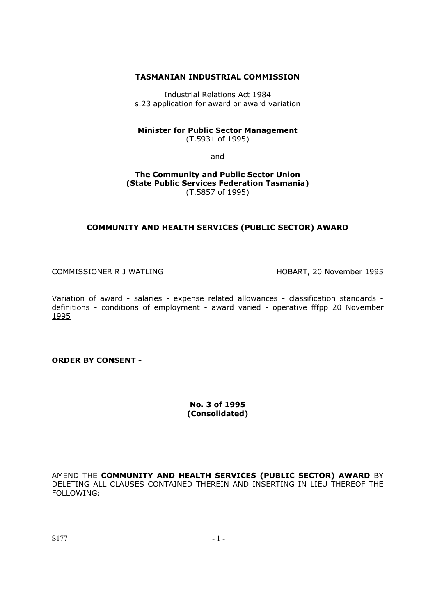## **TASMANIAN INDUSTRIAL COMMISSION**

Industrial Relations Act 1984 s.23 application for award or award variation

#### **Minister for Public Sector Management**  (T.5931 of 1995)

and

**The Community and Public Sector Union (State Public Services Federation Tasmania)**  (T.5857 of 1995)

## **COMMUNITY AND HEALTH SERVICES (PUBLIC SECTOR) AWARD**

COMMISSIONER R J WATLING HOBART, 20 November 1995

Variation of award - salaries - expense related allowances - classification standards definitions - conditions of employment - award varied - operative fffpp 20 November 1995

**ORDER BY CONSENT -** 

**No. 3 of 1995 (Consolidated)** 

AMEND THE **COMMUNITY AND HEALTH SERVICES (PUBLIC SECTOR) AWARD** BY DELETING ALL CLAUSES CONTAINED THEREIN AND INSERTING IN LIEU THEREOF THE FOLLOWING: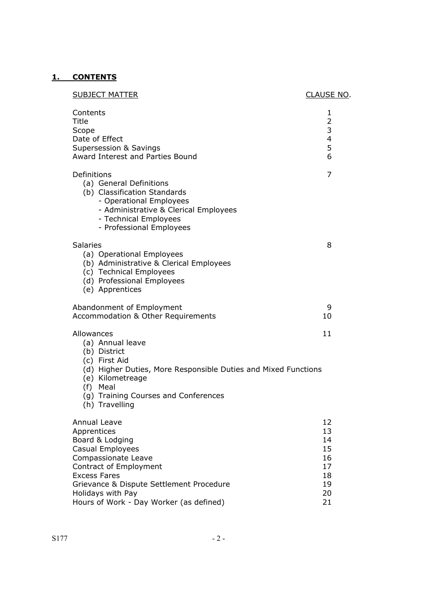# **1. CONTENTS**

| <b>SUBJECT MATTER</b>                                                                                                                                                                                                                                  | CLAUSE NO.                                               |
|--------------------------------------------------------------------------------------------------------------------------------------------------------------------------------------------------------------------------------------------------------|----------------------------------------------------------|
| Contents<br>Title<br>Scope<br>Date of Effect<br><b>Supersession &amp; Savings</b><br>Award Interest and Parties Bound                                                                                                                                  | 1<br>2<br>3<br>4<br>5<br>6                               |
| Definitions<br>(a) General Definitions<br>(b) Classification Standards<br>- Operational Employees<br>- Administrative & Clerical Employees<br>- Technical Employees<br>- Professional Employees                                                        | 7                                                        |
| <b>Salaries</b><br>(a) Operational Employees<br>(b) Administrative & Clerical Employees<br>(c) Technical Employees<br>(d) Professional Employees<br>(e) Apprentices                                                                                    | 8                                                        |
| Abandonment of Employment<br>Accommodation & Other Requirements                                                                                                                                                                                        | 9<br>10                                                  |
| Allowances<br>(a) Annual leave<br>(b) District<br>(c) First Aid<br>(d) Higher Duties, More Responsible Duties and Mixed Functions<br>(e) Kilometreage<br>(f) Meal<br>(g) Training Courses and Conferences<br>(h) Travelling                            | 11                                                       |
| Annual Leave<br>Apprentices<br>Board & Lodging<br>Casual Employees<br>Compassionate Leave<br>Contract of Employment<br><b>Excess Fares</b><br>Grievance & Dispute Settlement Procedure<br>Holidays with Pay<br>Hours of Work - Day Worker (as defined) | 12<br>13<br>14<br>15<br>16<br>17<br>18<br>19<br>20<br>21 |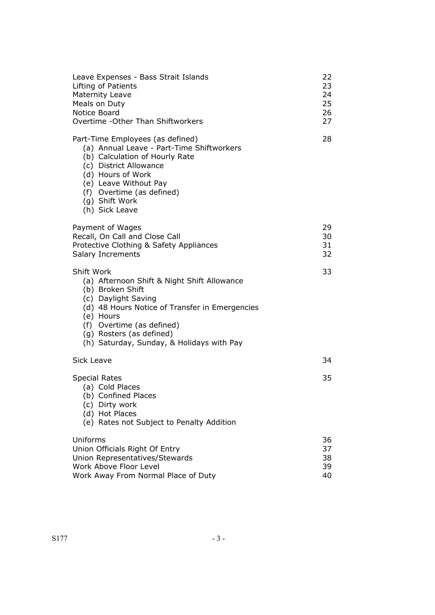| Leave Expenses - Bass Strait Islands<br>Lifting of Patients<br><b>Maternity Leave</b><br>Meals on Duty<br>Notice Board<br>Overtime - Other Than Shiftworkers                                                                                                              | 22<br>23<br>24<br>25<br>26<br>27 |
|---------------------------------------------------------------------------------------------------------------------------------------------------------------------------------------------------------------------------------------------------------------------------|----------------------------------|
| Part-Time Employees (as defined)<br>(a) Annual Leave - Part-Time Shiftworkers<br>(b) Calculation of Hourly Rate<br>(c) District Allowance<br>(d) Hours of Work<br>(e) Leave Without Pay<br>(f) Overtime (as defined)<br>(g) Shift Work<br>(h) Sick Leave                  | 28                               |
| Payment of Wages<br>Recall, On Call and Close Call<br>Protective Clothing & Safety Appliances<br>Salary Increments                                                                                                                                                        | 29<br>30<br>31<br>32             |
| Shift Work<br>(a) Afternoon Shift & Night Shift Allowance<br>(b) Broken Shift<br>(c) Daylight Saving<br>(d) 48 Hours Notice of Transfer in Emergencies<br>(e) Hours<br>(f) Overtime (as defined)<br>(g) Rosters (as defined)<br>(h) Saturday, Sunday, & Holidays with Pay | 33                               |
| Sick Leave                                                                                                                                                                                                                                                                | 34                               |
| <b>Special Rates</b><br>(a) Cold Places<br>(b) Confined Places<br>(c) Dirty work<br>(d) Hot Places<br>(e) Rates not Subject to Penalty Addition                                                                                                                           | 35                               |
| Uniforms<br>Union Officials Right Of Entry<br>Union Representatives/Stewards<br>Work Above Floor Level<br>Work Away From Normal Place of Duty                                                                                                                             | 36<br>37<br>38<br>39<br>40       |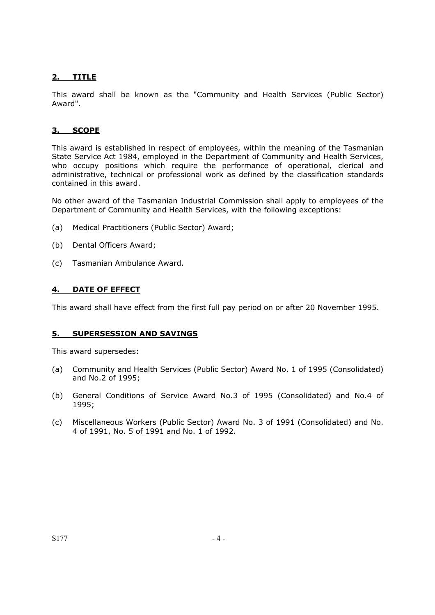## **2. TITLE**

This award shall be known as the "Community and Health Services (Public Sector) Award".

## **3. SCOPE**

This award is established in respect of employees, within the meaning of the Tasmanian State Service Act 1984, employed in the Department of Community and Health Services, who occupy positions which require the performance of operational, clerical and administrative, technical or professional work as defined by the classification standards contained in this award.

No other award of the Tasmanian Industrial Commission shall apply to employees of the Department of Community and Health Services, with the following exceptions:

- (a) Medical Practitioners (Public Sector) Award;
- (b) Dental Officers Award;
- (c) Tasmanian Ambulance Award.

## **4. DATE OF EFFECT**

This award shall have effect from the first full pay period on or after 20 November 1995.

#### **5. SUPERSESSION AND SAVINGS**

This award supersedes:

- (a) Community and Health Services (Public Sector) Award No. 1 of 1995 (Consolidated) and No.2 of 1995;
- (b) General Conditions of Service Award No.3 of 1995 (Consolidated) and No.4 of 1995;
- (c) Miscellaneous Workers (Public Sector) Award No. 3 of 1991 (Consolidated) and No. 4 of 1991, No. 5 of 1991 and No. 1 of 1992.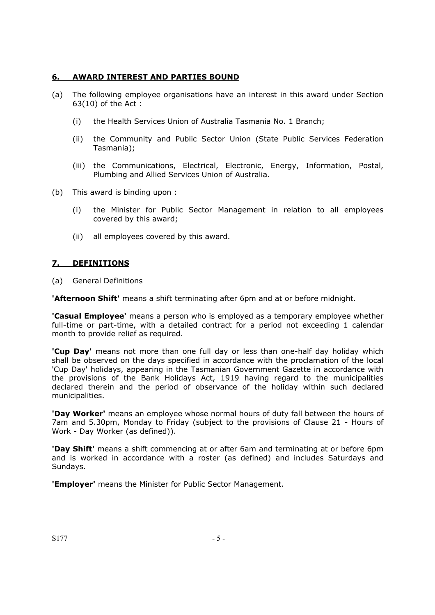## **6. AWARD INTEREST AND PARTIES BOUND**

- (a) The following employee organisations have an interest in this award under Section 63(10) of the Act :
	- (i) the Health Services Union of Australia Tasmania No. 1 Branch;
	- (ii) the Community and Public Sector Union (State Public Services Federation Tasmania);
	- (iii) the Communications, Electrical, Electronic, Energy, Information, Postal, Plumbing and Allied Services Union of Australia.
- (b) This award is binding upon :
	- (i) the Minister for Public Sector Management in relation to all employees covered by this award;
	- (ii) all employees covered by this award.

## **7. DEFINITIONS**

(a) General Definitions

**'Afternoon Shift'** means a shift terminating after 6pm and at or before midnight.

**'Casual Employee'** means a person who is employed as a temporary employee whether full-time or part-time, with a detailed contract for a period not exceeding 1 calendar month to provide relief as required.

**'Cup Day'** means not more than one full day or less than one-half day holiday which shall be observed on the days specified in accordance with the proclamation of the local 'Cup Day' holidays, appearing in the Tasmanian Government Gazette in accordance with the provisions of the Bank Holidays Act, 1919 having regard to the municipalities declared therein and the period of observance of the holiday within such declared municipalities.

**'Day Worker'** means an employee whose normal hours of duty fall between the hours of 7am and 5.30pm, Monday to Friday (subject to the provisions of Clause 21 - Hours of Work - Day Worker (as defined)).

**'Day Shift'** means a shift commencing at or after 6am and terminating at or before 6pm and is worked in accordance with a roster (as defined) and includes Saturdays and Sundays.

**'Employer'** means the Minister for Public Sector Management.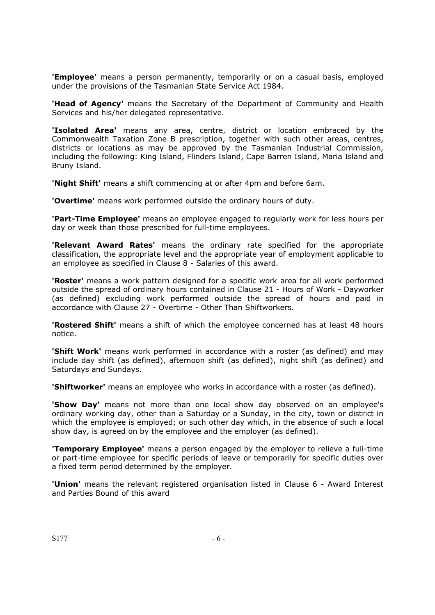**'Employee'** means a person permanently, temporarily or on a casual basis, employed under the provisions of the Tasmanian State Service Act 1984.

**'Head of Agency'** means the Secretary of the Department of Community and Health Services and his/her delegated representative.

**'Isolated Area'** means any area, centre, district or location embraced by the Commonwealth Taxation Zone B prescription, together with such other areas, centres, districts or locations as may be approved by the Tasmanian Industrial Commission, including the following: King Island, Flinders Island, Cape Barren Island, Maria Island and Bruny Island.

**'Night Shift'** means a shift commencing at or after 4pm and before 6am.

**'Overtime'** means work performed outside the ordinary hours of duty.

**'Part-Time Employee'** means an employee engaged to regularly work for less hours per day or week than those prescribed for full-time employees.

**'Relevant Award Rates'** means the ordinary rate specified for the appropriate classification, the appropriate level and the appropriate year of employment applicable to an employee as specified in Clause 8 - Salaries of this award.

**'Roster'** means a work pattern designed for a specific work area for all work performed outside the spread of ordinary hours contained in Clause 21 - Hours of Work - Dayworker (as defined) excluding work performed outside the spread of hours and paid in accordance with Clause 27 - Overtime - Other Than Shiftworkers.

**'Rostered Shift'** means a shift of which the employee concerned has at least 48 hours notice.

**'Shift Work'** means work performed in accordance with a roster (as defined) and may include day shift (as defined), afternoon shift (as defined), night shift (as defined) and Saturdays and Sundays.

**'Shiftworker'** means an employee who works in accordance with a roster (as defined).

**'Show Day'** means not more than one local show day observed on an employee's ordinary working day, other than a Saturday or a Sunday, in the city, town or district in which the employee is employed; or such other day which, in the absence of such a local show day, is agreed on by the employee and the employer (as defined).

**'Temporary Employee'** means a person engaged by the employer to relieve a full-time or part-time employee for specific periods of leave or temporarily for specific duties over a fixed term period determined by the employer.

**'Union'** means the relevant registered organisation listed in Clause 6 - Award Interest and Parties Bound of this award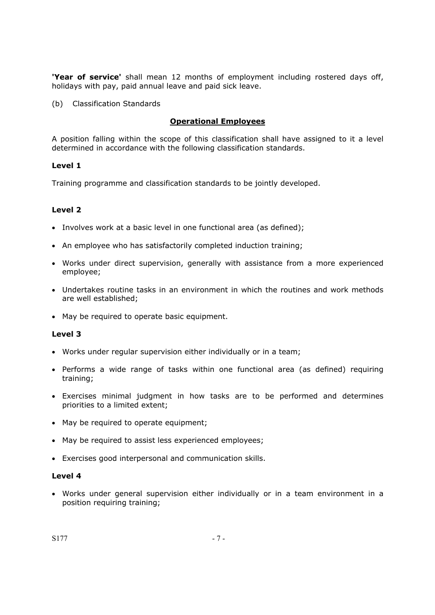**'Year of service'** shall mean 12 months of employment including rostered days off, holidays with pay, paid annual leave and paid sick leave.

(b) Classification Standards

## **Operational Employees**

A position falling within the scope of this classification shall have assigned to it a level determined in accordance with the following classification standards.

## **Level 1**

Training programme and classification standards to be jointly developed.

## **Level 2**

- Involves work at a basic level in one functional area (as defined);
- An employee who has satisfactorily completed induction training;
- Works under direct supervision, generally with assistance from a more experienced employee;
- Undertakes routine tasks in an environment in which the routines and work methods are well established;
- May be required to operate basic equipment.

#### **Level 3**

- Works under regular supervision either individually or in a team;
- Performs a wide range of tasks within one functional area (as defined) requiring training;
- Exercises minimal judgment in how tasks are to be performed and determines priorities to a limited extent;
- May be required to operate equipment;
- May be required to assist less experienced employees;
- Exercises good interpersonal and communication skills.

## **Level 4**

• Works under general supervision either individually or in a team environment in a position requiring training;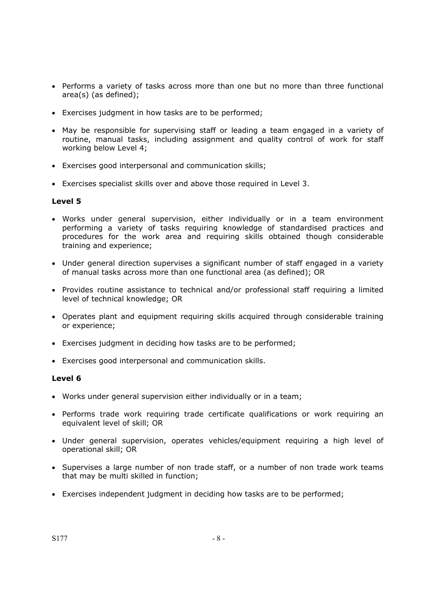- Performs a variety of tasks across more than one but no more than three functional area(s) (as defined);
- Exercises judgment in how tasks are to be performed;
- May be responsible for supervising staff or leading a team engaged in a variety of routine, manual tasks, including assignment and quality control of work for staff working below Level 4;
- Exercises good interpersonal and communication skills;
- Exercises specialist skills over and above those required in Level 3.

- Works under general supervision, either individually or in a team environment performing a variety of tasks requiring knowledge of standardised practices and procedures for the work area and requiring skills obtained though considerable training and experience;
- Under general direction supervises a significant number of staff engaged in a variety of manual tasks across more than one functional area (as defined); OR
- Provides routine assistance to technical and/or professional staff requiring a limited level of technical knowledge; OR
- Operates plant and equipment requiring skills acquired through considerable training or experience;
- Exercises judgment in deciding how tasks are to be performed;
- Exercises good interpersonal and communication skills.

#### **Level 6**

- Works under general supervision either individually or in a team;
- Performs trade work requiring trade certificate qualifications or work requiring an equivalent level of skill; OR
- Under general supervision, operates vehicles/equipment requiring a high level of operational skill; OR
- Supervises a large number of non trade staff, or a number of non trade work teams that may be multi skilled in function;
- Exercises independent judgment in deciding how tasks are to be performed;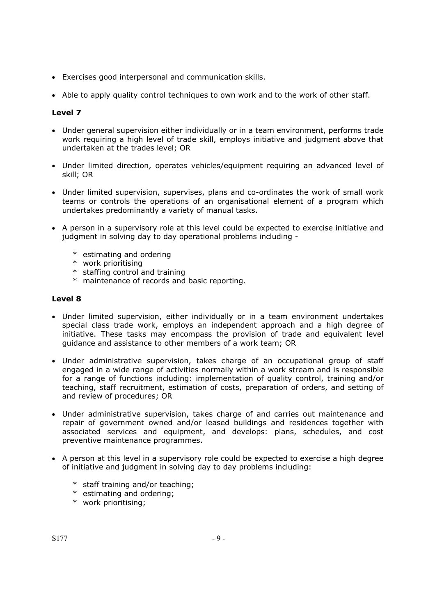- Exercises good interpersonal and communication skills.
- Able to apply quality control techniques to own work and to the work of other staff.

- Under general supervision either individually or in a team environment, performs trade work requiring a high level of trade skill, employs initiative and judgment above that undertaken at the trades level; OR
- Under limited direction, operates vehicles/equipment requiring an advanced level of skill; OR
- Under limited supervision, supervises, plans and co-ordinates the work of small work teams or controls the operations of an organisational element of a program which undertakes predominantly a variety of manual tasks.
- A person in a supervisory role at this level could be expected to exercise initiative and judgment in solving day to day operational problems including -
	- \* estimating and ordering
	- \* work prioritising
	- \* staffing control and training
	- \* maintenance of records and basic reporting.

## **Level 8**

- Under limited supervision, either individually or in a team environment undertakes special class trade work, employs an independent approach and a high degree of initiative. These tasks may encompass the provision of trade and equivalent level guidance and assistance to other members of a work team; OR
- Under administrative supervision, takes charge of an occupational group of staff engaged in a wide range of activities normally within a work stream and is responsible for a range of functions including: implementation of quality control, training and/or teaching, staff recruitment, estimation of costs, preparation of orders, and setting of and review of procedures; OR
- Under administrative supervision, takes charge of and carries out maintenance and repair of government owned and/or leased buildings and residences together with associated services and equipment, and develops: plans, schedules, and cost preventive maintenance programmes.
- A person at this level in a supervisory role could be expected to exercise a high degree of initiative and judgment in solving day to day problems including:
	- \* staff training and/or teaching;
	- \* estimating and ordering;
	- \* work prioritising;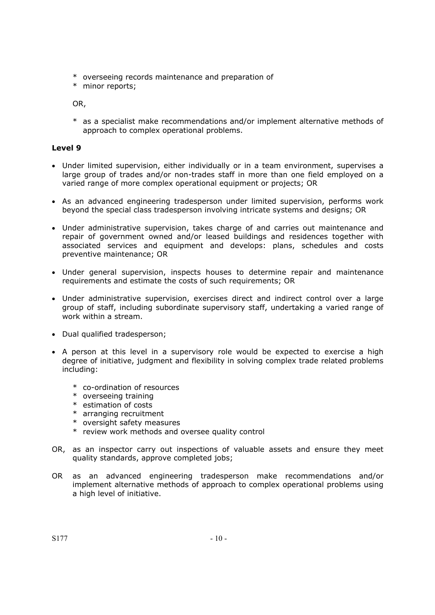- \* overseeing records maintenance and preparation of
- \* minor reports;

OR,

\* as a specialist make recommendations and/or implement alternative methods of approach to complex operational problems.

## **Level 9**

- Under limited supervision, either individually or in a team environment, supervises a large group of trades and/or non-trades staff in more than one field employed on a varied range of more complex operational equipment or projects; OR
- As an advanced engineering tradesperson under limited supervision, performs work beyond the special class tradesperson involving intricate systems and designs; OR
- Under administrative supervision, takes charge of and carries out maintenance and repair of government owned and/or leased buildings and residences together with associated services and equipment and develops: plans, schedules and costs preventive maintenance; OR
- Under general supervision, inspects houses to determine repair and maintenance requirements and estimate the costs of such requirements; OR
- Under administrative supervision, exercises direct and indirect control over a large group of staff, including subordinate supervisory staff, undertaking a varied range of work within a stream.
- Dual qualified tradesperson;
- A person at this level in a supervisory role would be expected to exercise a high degree of initiative, judgment and flexibility in solving complex trade related problems including:
	- \* co-ordination of resources
	- \* overseeing training
	- \* estimation of costs
	- \* arranging recruitment
	- \* oversight safety measures
	- \* review work methods and oversee quality control
- OR, as an inspector carry out inspections of valuable assets and ensure they meet quality standards, approve completed jobs;
- OR as an advanced engineering tradesperson make recommendations and/or implement alternative methods of approach to complex operational problems using a high level of initiative.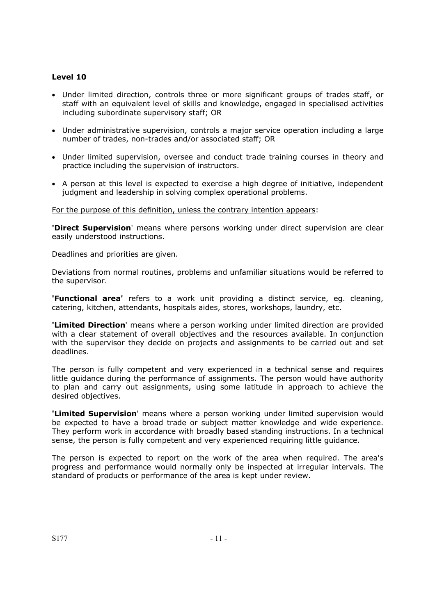- Under limited direction, controls three or more significant groups of trades staff, or staff with an equivalent level of skills and knowledge, engaged in specialised activities including subordinate supervisory staff; OR
- Under administrative supervision, controls a major service operation including a large number of trades, non-trades and/or associated staff; OR
- Under limited supervision, oversee and conduct trade training courses in theory and practice including the supervision of instructors.
- A person at this level is expected to exercise a high degree of initiative, independent judgment and leadership in solving complex operational problems.

For the purpose of this definition, unless the contrary intention appears:

**'Direct Supervision**' means where persons working under direct supervision are clear easily understood instructions.

Deadlines and priorities are given.

Deviations from normal routines, problems and unfamiliar situations would be referred to the supervisor.

**'Functional area'** refers to a work unit providing a distinct service, eg. cleaning, catering, kitchen, attendants, hospitals aides, stores, workshops, laundry, etc.

**'Limited Direction**' means where a person working under limited direction are provided with a clear statement of overall objectives and the resources available. In conjunction with the supervisor they decide on projects and assignments to be carried out and set deadlines.

The person is fully competent and very experienced in a technical sense and requires little guidance during the performance of assignments. The person would have authority to plan and carry out assignments, using some latitude in approach to achieve the desired objectives.

**'Limited Supervision**' means where a person working under limited supervision would be expected to have a broad trade or subject matter knowledge and wide experience. They perform work in accordance with broadly based standing instructions. In a technical sense, the person is fully competent and very experienced requiring little guidance.

The person is expected to report on the work of the area when required. The area's progress and performance would normally only be inspected at irregular intervals. The standard of products or performance of the area is kept under review.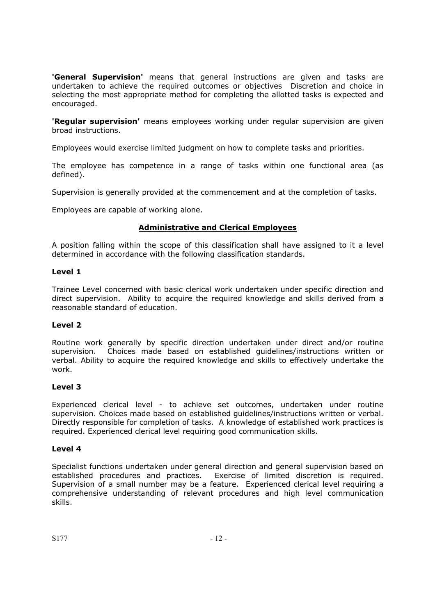**'General Supervision'** means that general instructions are given and tasks are undertaken to achieve the required outcomes or objectives Discretion and choice in selecting the most appropriate method for completing the allotted tasks is expected and encouraged.

**'Regular supervision'** means employees working under regular supervision are given broad instructions.

Employees would exercise limited judgment on how to complete tasks and priorities.

The employee has competence in a range of tasks within one functional area (as defined).

Supervision is generally provided at the commencement and at the completion of tasks.

Employees are capable of working alone.

## **Administrative and Clerical Employees**

A position falling within the scope of this classification shall have assigned to it a level determined in accordance with the following classification standards.

## **Level 1**

Trainee Level concerned with basic clerical work undertaken under specific direction and direct supervision. Ability to acquire the required knowledge and skills derived from a reasonable standard of education.

## **Level 2**

Routine work generally by specific direction undertaken under direct and/or routine supervision. Choices made based on established guidelines/instructions written or verbal. Ability to acquire the required knowledge and skills to effectively undertake the work.

#### **Level 3**

Experienced clerical level - to achieve set outcomes, undertaken under routine supervision. Choices made based on established guidelines/instructions written or verbal. Directly responsible for completion of tasks. A knowledge of established work practices is required. Experienced clerical level requiring good communication skills.

#### **Level 4**

Specialist functions undertaken under general direction and general supervision based on established procedures and practices. Exercise of limited discretion is required. Supervision of a small number may be a feature. Experienced clerical level requiring a comprehensive understanding of relevant procedures and high level communication skills.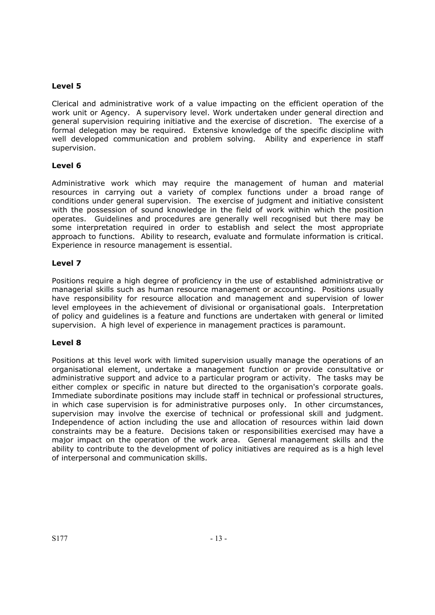Clerical and administrative work of a value impacting on the efficient operation of the work unit or Agency. A supervisory level. Work undertaken under general direction and general supervision requiring initiative and the exercise of discretion. The exercise of a formal delegation may be required. Extensive knowledge of the specific discipline with well developed communication and problem solving. Ability and experience in staff supervision.

## **Level 6**

Administrative work which may require the management of human and material resources in carrying out a variety of complex functions under a broad range of conditions under general supervision. The exercise of judgment and initiative consistent with the possession of sound knowledge in the field of work within which the position operates. Guidelines and procedures are generally well recognised but there may be some interpretation required in order to establish and select the most appropriate approach to functions. Ability to research, evaluate and formulate information is critical. Experience in resource management is essential.

## **Level 7**

Positions require a high degree of proficiency in the use of established administrative or managerial skills such as human resource management or accounting. Positions usually have responsibility for resource allocation and management and supervision of lower level employees in the achievement of divisional or organisational goals. Interpretation of policy and guidelines is a feature and functions are undertaken with general or limited supervision. A high level of experience in management practices is paramount.

#### **Level 8**

Positions at this level work with limited supervision usually manage the operations of an organisational element, undertake a management function or provide consultative or administrative support and advice to a particular program or activity. The tasks may be either complex or specific in nature but directed to the organisation's corporate goals. Immediate subordinate positions may include staff in technical or professional structures, in which case supervision is for administrative purposes only. In other circumstances, supervision may involve the exercise of technical or professional skill and judgment. Independence of action including the use and allocation of resources within laid down constraints may be a feature. Decisions taken or responsibilities exercised may have a major impact on the operation of the work area. General management skills and the ability to contribute to the development of policy initiatives are required as is a high level of interpersonal and communication skills.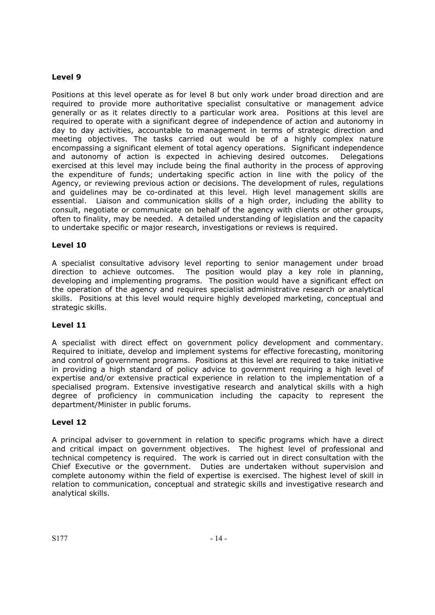Positions at this level operate as for level 8 but only work under broad direction and are required to provide more authoritative specialist consultative or management advice generally or as it relates directly to a particular work area. Positions at this level are required to operate with a significant degree of independence of action and autonomy in day to day activities, accountable to management in terms of strategic direction and meeting objectives. The tasks carried out would be of a highly complex nature encompassing a significant element of total agency operations. Significant independence and autonomy of action is expected in achieving desired outcomes. Delegations exercised at this level may include being the final authority in the process of approving the expenditure of funds; undertaking specific action in line with the policy of the Agency, or reviewing previous action or decisions. The development of rules, regulations and guidelines may be co-ordinated at this level. High level management skills are essential. Liaison and communication skills of a high order, including the ability to consult, negotiate or communicate on behalf of the agency with clients or other groups, often to finality, may be needed. A detailed understanding of legislation and the capacity to undertake specific or major research, investigations or reviews is required.

## **Level 10**

A specialist consultative advisory level reporting to senior management under broad direction to achieve outcomes. The position would play a key role in planning, developing and implementing programs. The position would have a significant effect on the operation of the agency and requires specialist administrative research or analytical skills. Positions at this level would require highly developed marketing, conceptual and strategic skills.

## **Level 11**

A specialist with direct effect on government policy development and commentary. Required to initiate, develop and implement systems for effective forecasting, monitoring and control of government programs. Positions at this level are required to take initiative in providing a high standard of policy advice to government requiring a high level of expertise and/or extensive practical experience in relation to the implementation of a specialised program. Extensive investigative research and analytical skills with a high degree of proficiency in communication including the capacity to represent the department/Minister in public forums.

## **Level 12**

A principal adviser to government in relation to specific programs which have a direct and critical impact on government objectives. The highest level of professional and technical competency is required. The work is carried out in direct consultation with the Chief Executive or the government. Duties are undertaken without supervision and complete autonomy within the field of expertise is exercised. The highest level of skill in relation to communication, conceptual and strategic skills and investigative research and analytical skills.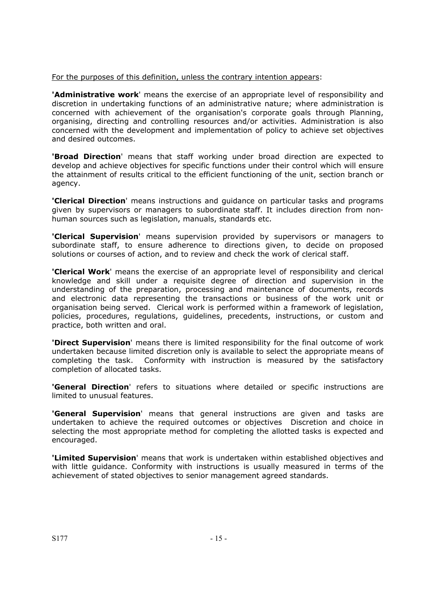#### For the purposes of this definition, unless the contrary intention appears:

**'Administrative work**' means the exercise of an appropriate level of responsibility and discretion in undertaking functions of an administrative nature; where administration is concerned with achievement of the organisation's corporate goals through Planning, organising, directing and controlling resources and/or activities. Administration is also concerned with the development and implementation of policy to achieve set objectives and desired outcomes.

**'Broad Direction**' means that staff working under broad direction are expected to develop and achieve objectives for specific functions under their control which will ensure the attainment of results critical to the efficient functioning of the unit, section branch or agency.

**'Clerical Direction**' means instructions and guidance on particular tasks and programs given by supervisors or managers to subordinate staff. It includes direction from nonhuman sources such as legislation, manuals, standards etc.

**'Clerical Supervision**' means supervision provided by supervisors or managers to subordinate staff, to ensure adherence to directions given, to decide on proposed solutions or courses of action, and to review and check the work of clerical staff.

**'Clerical Work**' means the exercise of an appropriate level of responsibility and clerical knowledge and skill under a requisite degree of direction and supervision in the understanding of the preparation, processing and maintenance of documents, records and electronic data representing the transactions or business of the work unit or organisation being served. Clerical work is performed within a framework of legislation, policies, procedures, regulations, guidelines, precedents, instructions, or custom and practice, both written and oral.

**'Direct Supervision**' means there is limited responsibility for the final outcome of work undertaken because limited discretion only is available to select the appropriate means of completing the task. Conformity with instruction is measured by the satisfactory completion of allocated tasks.

**'General Direction**' refers to situations where detailed or specific instructions are limited to unusual features.

**'General Supervision**' means that general instructions are given and tasks are undertaken to achieve the required outcomes or objectives Discretion and choice in selecting the most appropriate method for completing the allotted tasks is expected and encouraged.

**'Limited Supervision**' means that work is undertaken within established objectives and with little guidance. Conformity with instructions is usually measured in terms of the achievement of stated objectives to senior management agreed standards.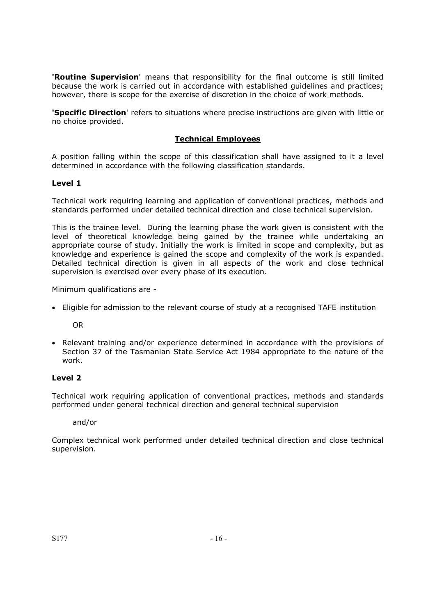**'Routine Supervision**' means that responsibility for the final outcome is still limited because the work is carried out in accordance with established guidelines and practices; however, there is scope for the exercise of discretion in the choice of work methods.

**'Specific Direction**' refers to situations where precise instructions are given with little or no choice provided.

## **Technical Employees**

A position falling within the scope of this classification shall have assigned to it a level determined in accordance with the following classification standards.

## **Level 1**

Technical work requiring learning and application of conventional practices, methods and standards performed under detailed technical direction and close technical supervision.

This is the trainee level. During the learning phase the work given is consistent with the level of theoretical knowledge being gained by the trainee while undertaking an appropriate course of study. Initially the work is limited in scope and complexity, but as knowledge and experience is gained the scope and complexity of the work is expanded. Detailed technical direction is given in all aspects of the work and close technical supervision is exercised over every phase of its execution.

Minimum qualifications are -

• Eligible for admission to the relevant course of study at a recognised TAFE institution

OR

• Relevant training and/or experience determined in accordance with the provisions of Section 37 of the Tasmanian State Service Act 1984 appropriate to the nature of the work.

## **Level 2**

Technical work requiring application of conventional practices, methods and standards performed under general technical direction and general technical supervision

and/or

Complex technical work performed under detailed technical direction and close technical supervision.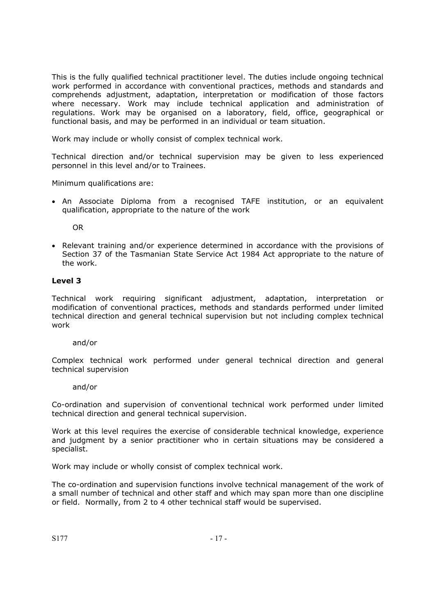This is the fully qualified technical practitioner level. The duties include ongoing technical work performed in accordance with conventional practices, methods and standards and comprehends adjustment, adaptation, interpretation or modification of those factors where necessary. Work may include technical application and administration of regulations. Work may be organised on a laboratory, field, office, geographical or functional basis, and may be performed in an individual or team situation.

Work may include or wholly consist of complex technical work.

Technical direction and/or technical supervision may be given to less experienced personnel in this level and/or to Trainees.

Minimum qualifications are:

• An Associate Diploma from a recognised TAFE institution, or an equivalent qualification, appropriate to the nature of the work

OR

• Relevant training and/or experience determined in accordance with the provisions of Section 37 of the Tasmanian State Service Act 1984 Act appropriate to the nature of the work.

## **Level 3**

Technical work requiring significant adjustment, adaptation, interpretation or modification of conventional practices, methods and standards performed under limited technical direction and general technical supervision but not including complex technical work

#### and/or

Complex technical work performed under general technical direction and general technical supervision

#### and/or

Co-ordination and supervision of conventional technical work performed under limited technical direction and general technical supervision.

Work at this level requires the exercise of considerable technical knowledge, experience and judgment by a senior practitioner who in certain situations may be considered a specialist.

Work may include or wholly consist of complex technical work.

The co-ordination and supervision functions involve technical management of the work of a small number of technical and other staff and which may span more than one discipline or field. Normally, from 2 to 4 other technical staff would be supervised.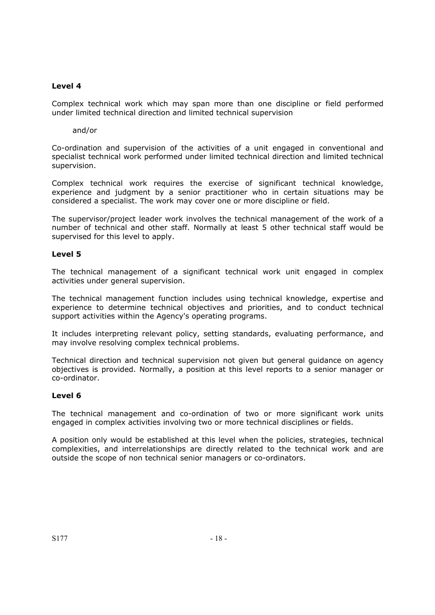Complex technical work which may span more than one discipline or field performed under limited technical direction and limited technical supervision

and/or

Co-ordination and supervision of the activities of a unit engaged in conventional and specialist technical work performed under limited technical direction and limited technical supervision.

Complex technical work requires the exercise of significant technical knowledge, experience and judgment by a senior practitioner who in certain situations may be considered a specialist. The work may cover one or more discipline or field.

The supervisor/project leader work involves the technical management of the work of a number of technical and other staff. Normally at least 5 other technical staff would be supervised for this level to apply.

#### **Level 5**

The technical management of a significant technical work unit engaged in complex activities under general supervision.

The technical management function includes using technical knowledge, expertise and experience to determine technical objectives and priorities, and to conduct technical support activities within the Agency's operating programs.

It includes interpreting relevant policy, setting standards, evaluating performance, and may involve resolving complex technical problems.

Technical direction and technical supervision not given but general guidance on agency objectives is provided. Normally, a position at this level reports to a senior manager or co-ordinator.

#### **Level 6**

The technical management and co-ordination of two or more significant work units engaged in complex activities involving two or more technical disciplines or fields.

A position only would be established at this level when the policies, strategies, technical complexities, and interrelationships are directly related to the technical work and are outside the scope of non technical senior managers or co-ordinators.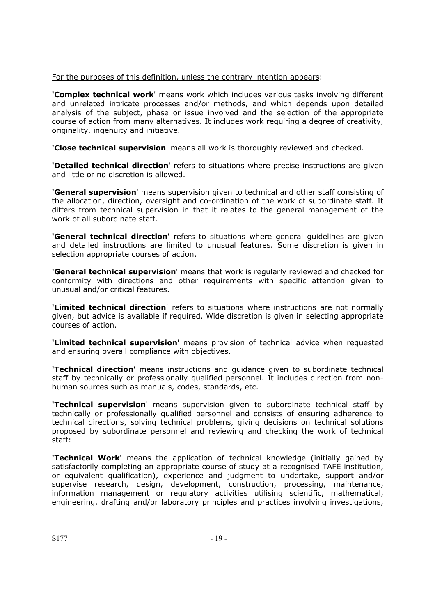For the purposes of this definition, unless the contrary intention appears:

**'Complex technical work**' means work which includes various tasks involving different and unrelated intricate processes and/or methods, and which depends upon detailed analysis of the subject, phase or issue involved and the selection of the appropriate course of action from many alternatives. It includes work requiring a degree of creativity, originality, ingenuity and initiative.

**'Close technical supervision**' means all work is thoroughly reviewed and checked.

**'Detailed technical direction**' refers to situations where precise instructions are given and little or no discretion is allowed.

**'General supervision**' means supervision given to technical and other staff consisting of the allocation, direction, oversight and co-ordination of the work of subordinate staff. It differs from technical supervision in that it relates to the general management of the work of all subordinate staff.

**'General technical direction'** refers to situations where general guidelines are given and detailed instructions are limited to unusual features. Some discretion is given in selection appropriate courses of action.

**'General technical supervision**' means that work is regularly reviewed and checked for conformity with directions and other requirements with specific attention given to unusual and/or critical features.

**'Limited technical direction**' refers to situations where instructions are not normally given, but advice is available if required. Wide discretion is given in selecting appropriate courses of action.

**'Limited technical supervision**' means provision of technical advice when requested and ensuring overall compliance with objectives.

**'Technical direction**' means instructions and guidance given to subordinate technical staff by technically or professionally qualified personnel. It includes direction from nonhuman sources such as manuals, codes, standards, etc.

**'Technical supervision**' means supervision given to subordinate technical staff by technically or professionally qualified personnel and consists of ensuring adherence to technical directions, solving technical problems, giving decisions on technical solutions proposed by subordinate personnel and reviewing and checking the work of technical staff:

**'Technical Work**' means the application of technical knowledge (initially gained by satisfactorily completing an appropriate course of study at a recognised TAFE institution, or equivalent qualification), experience and judgment to undertake, support and/or supervise research, design, development, construction, processing, maintenance, information management or regulatory activities utilising scientific, mathematical, engineering, drafting and/or laboratory principles and practices involving investigations,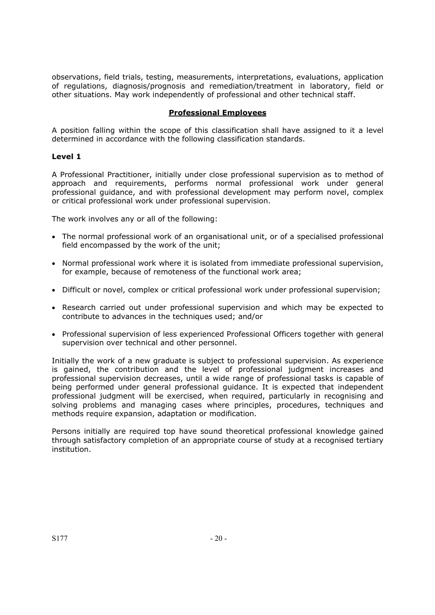observations, field trials, testing, measurements, interpretations, evaluations, application of regulations, diagnosis/prognosis and remediation/treatment in laboratory, field or other situations. May work independently of professional and other technical staff.

## **Professional Employees**

A position falling within the scope of this classification shall have assigned to it a level determined in accordance with the following classification standards.

## **Level 1**

A Professional Practitioner, initially under close professional supervision as to method of approach and requirements, performs normal professional work under general professional guidance, and with professional development may perform novel, complex or critical professional work under professional supervision.

The work involves any or all of the following:

- The normal professional work of an organisational unit, or of a specialised professional field encompassed by the work of the unit;
- Normal professional work where it is isolated from immediate professional supervision, for example, because of remoteness of the functional work area;
- Difficult or novel, complex or critical professional work under professional supervision;
- Research carried out under professional supervision and which may be expected to contribute to advances in the techniques used; and/or
- Professional supervision of less experienced Professional Officers together with general supervision over technical and other personnel.

Initially the work of a new graduate is subject to professional supervision. As experience is gained, the contribution and the level of professional judgment increases and professional supervision decreases, until a wide range of professional tasks is capable of being performed under general professional guidance. It is expected that independent professional judgment will be exercised, when required, particularly in recognising and solving problems and managing cases where principles, procedures, techniques and methods require expansion, adaptation or modification.

Persons initially are required top have sound theoretical professional knowledge gained through satisfactory completion of an appropriate course of study at a recognised tertiary institution.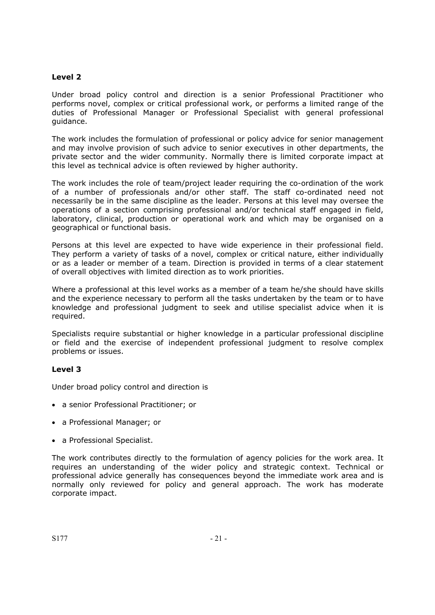Under broad policy control and direction is a senior Professional Practitioner who performs novel, complex or critical professional work, or performs a limited range of the duties of Professional Manager or Professional Specialist with general professional guidance.

The work includes the formulation of professional or policy advice for senior management and may involve provision of such advice to senior executives in other departments, the private sector and the wider community. Normally there is limited corporate impact at this level as technical advice is often reviewed by higher authority.

The work includes the role of team/project leader requiring the co-ordination of the work of a number of professionals and/or other staff. The staff co-ordinated need not necessarily be in the same discipline as the leader. Persons at this level may oversee the operations of a section comprising professional and/or technical staff engaged in field, laboratory, clinical, production or operational work and which may be organised on a geographical or functional basis.

Persons at this level are expected to have wide experience in their professional field. They perform a variety of tasks of a novel, complex or critical nature, either individually or as a leader or member of a team. Direction is provided in terms of a clear statement of overall objectives with limited direction as to work priorities.

Where a professional at this level works as a member of a team he/she should have skills and the experience necessary to perform all the tasks undertaken by the team or to have knowledge and professional judgment to seek and utilise specialist advice when it is required.

Specialists require substantial or higher knowledge in a particular professional discipline or field and the exercise of independent professional judgment to resolve complex problems or issues.

#### **Level 3**

Under broad policy control and direction is

- a senior Professional Practitioner; or
- a Professional Manager; or
- a Professional Specialist.

The work contributes directly to the formulation of agency policies for the work area. It requires an understanding of the wider policy and strategic context. Technical or professional advice generally has consequences beyond the immediate work area and is normally only reviewed for policy and general approach. The work has moderate corporate impact.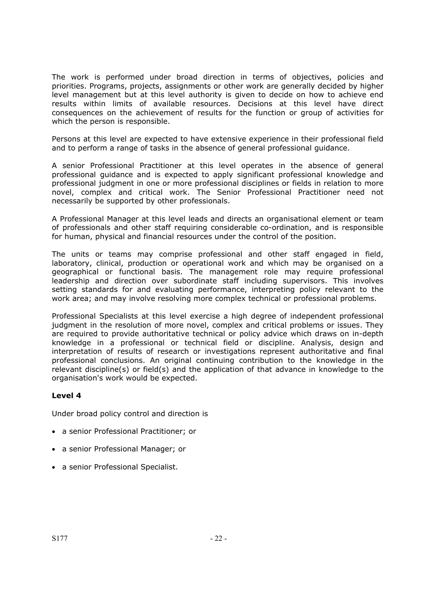The work is performed under broad direction in terms of objectives, policies and priorities. Programs, projects, assignments or other work are generally decided by higher level management but at this level authority is given to decide on how to achieve end results within limits of available resources. Decisions at this level have direct consequences on the achievement of results for the function or group of activities for which the person is responsible.

Persons at this level are expected to have extensive experience in their professional field and to perform a range of tasks in the absence of general professional guidance.

A senior Professional Practitioner at this level operates in the absence of general professional guidance and is expected to apply significant professional knowledge and professional judgment in one or more professional disciplines or fields in relation to more novel, complex and critical work. The Senior Professional Practitioner need not necessarily be supported by other professionals.

A Professional Manager at this level leads and directs an organisational element or team of professionals and other staff requiring considerable co-ordination, and is responsible for human, physical and financial resources under the control of the position.

The units or teams may comprise professional and other staff engaged in field, laboratory, clinical, production or operational work and which may be organised on a geographical or functional basis. The management role may require professional leadership and direction over subordinate staff including supervisors. This involves setting standards for and evaluating performance, interpreting policy relevant to the work area; and may involve resolving more complex technical or professional problems.

Professional Specialists at this level exercise a high degree of independent professional judgment in the resolution of more novel, complex and critical problems or issues. They are required to provide authoritative technical or policy advice which draws on in-depth knowledge in a professional or technical field or discipline. Analysis, design and interpretation of results of research or investigations represent authoritative and final professional conclusions. An original continuing contribution to the knowledge in the relevant discipline(s) or field(s) and the application of that advance in knowledge to the organisation's work would be expected.

## **Level 4**

Under broad policy control and direction is

- a senior Professional Practitioner; or
- a senior Professional Manager; or
- a senior Professional Specialist.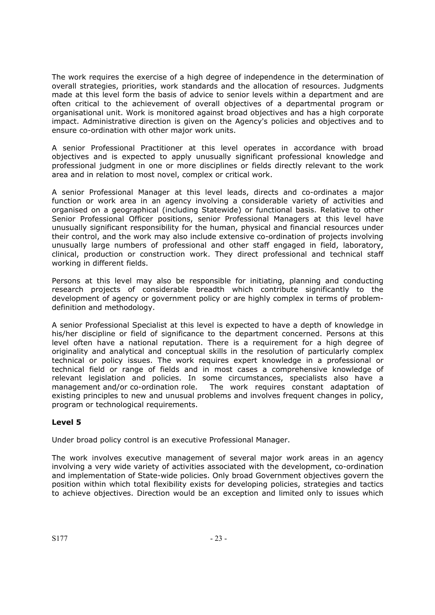The work requires the exercise of a high degree of independence in the determination of overall strategies, priorities, work standards and the allocation of resources. Judgments made at this level form the basis of advice to senior levels within a department and are often critical to the achievement of overall objectives of a departmental program or organisational unit. Work is monitored against broad objectives and has a high corporate impact. Administrative direction is given on the Agency's policies and objectives and to ensure co-ordination with other major work units.

A senior Professional Practitioner at this level operates in accordance with broad objectives and is expected to apply unusually significant professional knowledge and professional judgment in one or more disciplines or fields directly relevant to the work area and in relation to most novel, complex or critical work.

A senior Professional Manager at this level leads, directs and co-ordinates a major function or work area in an agency involving a considerable variety of activities and organised on a geographical (including Statewide) or functional basis. Relative to other Senior Professional Officer positions, senior Professional Managers at this level have unusually significant responsibility for the human, physical and financial resources under their control, and the work may also include extensive co-ordination of projects involving unusually large numbers of professional and other staff engaged in field, laboratory, clinical, production or construction work. They direct professional and technical staff working in different fields.

Persons at this level may also be responsible for initiating, planning and conducting research projects of considerable breadth which contribute significantly to the development of agency or government policy or are highly complex in terms of problemdefinition and methodology.

A senior Professional Specialist at this level is expected to have a depth of knowledge in his/her discipline or field of significance to the department concerned. Persons at this level often have a national reputation. There is a requirement for a high degree of originality and analytical and conceptual skills in the resolution of particularly complex technical or policy issues. The work requires expert knowledge in a professional or technical field or range of fields and in most cases a comprehensive knowledge of relevant legislation and policies. In some circumstances, specialists also have a management and/or co-ordination role. The work requires constant adaptation of existing principles to new and unusual problems and involves frequent changes in policy, program or technological requirements.

## **Level 5**

Under broad policy control is an executive Professional Manager.

The work involves executive management of several major work areas in an agency involving a very wide variety of activities associated with the development, co-ordination and implementation of State-wide policies. Only broad Government objectives govern the position within which total flexibility exists for developing policies, strategies and tactics to achieve objectives. Direction would be an exception and limited only to issues which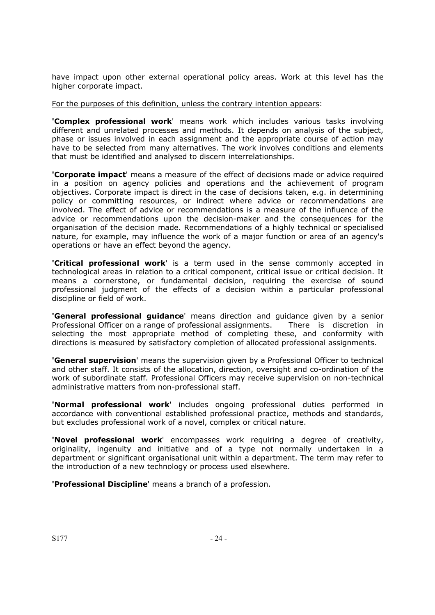have impact upon other external operational policy areas. Work at this level has the higher corporate impact.

For the purposes of this definition, unless the contrary intention appears:

**'Complex professional work**' means work which includes various tasks involving different and unrelated processes and methods. It depends on analysis of the subject, phase or issues involved in each assignment and the appropriate course of action may have to be selected from many alternatives. The work involves conditions and elements that must be identified and analysed to discern interrelationships.

**'Corporate impact**' means a measure of the effect of decisions made or advice required in a position on agency policies and operations and the achievement of program objectives. Corporate impact is direct in the case of decisions taken, e.g. in determining policy or committing resources, or indirect where advice or recommendations are involved. The effect of advice or recommendations is a measure of the influence of the advice or recommendations upon the decision-maker and the consequences for the organisation of the decision made. Recommendations of a highly technical or specialised nature, for example, may influence the work of a major function or area of an agency's operations or have an effect beyond the agency.

**'Critical professional work**' is a term used in the sense commonly accepted in technological areas in relation to a critical component, critical issue or critical decision. It means a cornerstone, or fundamental decision, requiring the exercise of sound professional judgment of the effects of a decision within a particular professional discipline or field of work.

**'General professional guidance**' means direction and guidance given by a senior Professional Officer on a range of professional assignments. There is discretion in selecting the most appropriate method of completing these, and conformity with directions is measured by satisfactory completion of allocated professional assignments.

**'General supervision**' means the supervision given by a Professional Officer to technical and other staff. It consists of the allocation, direction, oversight and co-ordination of the work of subordinate staff. Professional Officers may receive supervision on non-technical administrative matters from non-professional staff.

**'Normal professional work**' includes ongoing professional duties performed in accordance with conventional established professional practice, methods and standards, but excludes professional work of a novel, complex or critical nature.

**'Novel professional work**' encompasses work requiring a degree of creativity, originality, ingenuity and initiative and of a type not normally undertaken in a department or significant organisational unit within a department. The term may refer to the introduction of a new technology or process used elsewhere.

**'Professional Discipline**' means a branch of a profession.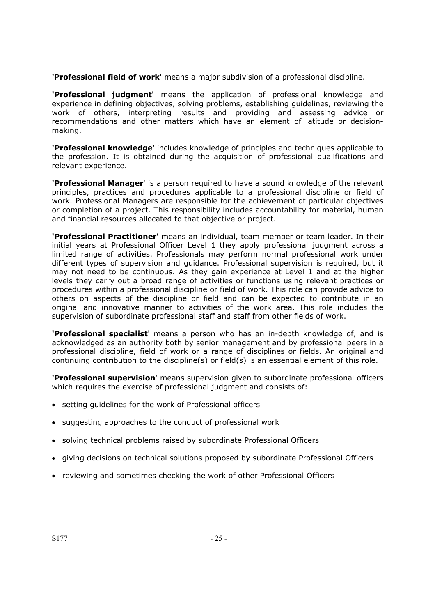**'Professional field of work**' means a major subdivision of a professional discipline.

**'Professional judgment**' means the application of professional knowledge and experience in defining objectives, solving problems, establishing guidelines, reviewing the work of others, interpreting results and providing and assessing advice or recommendations and other matters which have an element of latitude or decisionmaking.

**'Professional knowledge**' includes knowledge of principles and techniques applicable to the profession. It is obtained during the acquisition of professional qualifications and relevant experience.

**'Professional Manager**' is a person required to have a sound knowledge of the relevant principles, practices and procedures applicable to a professional discipline or field of work. Professional Managers are responsible for the achievement of particular objectives or completion of a project. This responsibility includes accountability for material, human and financial resources allocated to that objective or project.

**'Professional Practitioner**' means an individual, team member or team leader. In their initial years at Professional Officer Level 1 they apply professional judgment across a limited range of activities. Professionals may perform normal professional work under different types of supervision and guidance. Professional supervision is required, but it may not need to be continuous. As they gain experience at Level 1 and at the higher levels they carry out a broad range of activities or functions using relevant practices or procedures within a professional discipline or field of work. This role can provide advice to others on aspects of the discipline or field and can be expected to contribute in an original and innovative manner to activities of the work area. This role includes the supervision of subordinate professional staff and staff from other fields of work.

**'Professional specialist**' means a person who has an in-depth knowledge of, and is acknowledged as an authority both by senior management and by professional peers in a professional discipline, field of work or a range of disciplines or fields. An original and continuing contribution to the discipline(s) or field(s) is an essential element of this role.

**'Professional supervision**' means supervision given to subordinate professional officers which requires the exercise of professional judgment and consists of:

- setting guidelines for the work of Professional officers
- suggesting approaches to the conduct of professional work
- solving technical problems raised by subordinate Professional Officers
- giving decisions on technical solutions proposed by subordinate Professional Officers
- reviewing and sometimes checking the work of other Professional Officers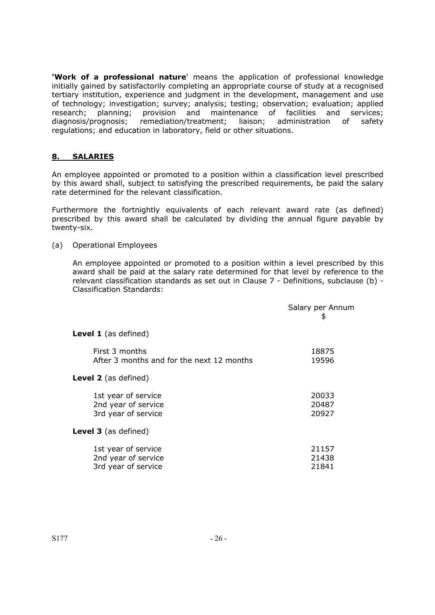**'Work of a professional nature**' means the application of professional knowledge initially gained by satisfactorily completing an appropriate course of study at a recognised tertiary institution, experience and judgment in the development, management and use of technology; investigation; survey; analysis; testing; observation; evaluation; applied research; planning; provision and maintenance of facilities and services; diagnosis/prognosis; remediation/treatment; liaison; administration of safety regulations; and education in laboratory, field or other situations.

## **8. SALARIES**

An employee appointed or promoted to a position within a classification level prescribed by this award shall, subject to satisfying the prescribed requirements, be paid the salary rate determined for the relevant classification.

Furthermore the fortnightly equivalents of each relevant award rate (as defined) prescribed by this award shall be calculated by dividing the annual figure payable by twenty-six.

## (a) Operational Employees

An employee appointed or promoted to a position within a level prescribed by this award shall be paid at the salary rate determined for that level by reference to the relevant classification standards as set out in Clause 7 - Definitions, subclause (b) - Classification Standards:

|                                                                   | Salary per Annum<br>\$  |
|-------------------------------------------------------------------|-------------------------|
| <b>Level 1</b> (as defined)                                       |                         |
| First 3 months<br>After 3 months and for the next 12 months       | 18875<br>19596          |
| <b>Level 2</b> (as defined)                                       |                         |
| 1st year of service<br>2nd year of service<br>3rd year of service | 20033<br>20487<br>20927 |
| <b>Level 3</b> (as defined)                                       |                         |
| 1st year of service<br>2nd year of service<br>3rd year of service | 21157<br>21438<br>21841 |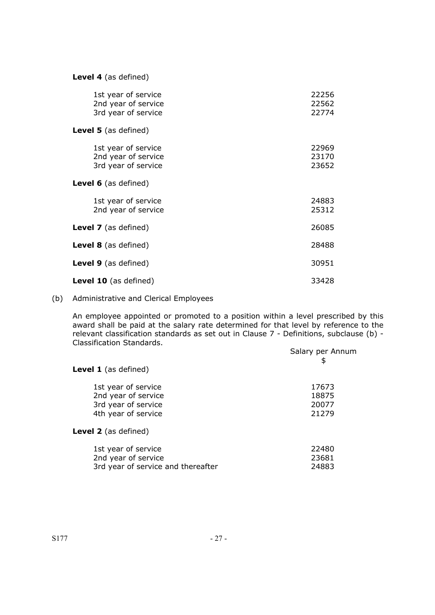**Level 4** (as defined)

| 1st year of service<br>2nd year of service<br>3rd year of service | 22256<br>22562<br>22774 |
|-------------------------------------------------------------------|-------------------------|
| <b>Level 5</b> (as defined)                                       |                         |
| 1st year of service<br>2nd year of service<br>3rd year of service | 22969<br>23170<br>23652 |
| <b>Level 6</b> (as defined)                                       |                         |
| 1st year of service<br>2nd year of service                        | 24883<br>25312          |
| <b>Level 7</b> (as defined)                                       | 26085                   |
| <b>Level 8</b> (as defined)                                       | 28488                   |
| <b>Level 9</b> (as defined)                                       | 30951                   |
| <b>Level 10</b> (as defined)                                      | 33428                   |

# (b) Administrative and Clerical Employees

An employee appointed or promoted to a position within a level prescribed by this award shall be paid at the salary rate determined for that level by reference to the relevant classification standards as set out in Clause 7 - Definitions, subclause (b) - Classification Standards.

|                                    | Salary per Annum<br>\$ |
|------------------------------------|------------------------|
| <b>Level 1</b> (as defined)        |                        |
| 1st year of service                | 17673                  |
| 2nd year of service                | 18875                  |
| 3rd year of service                | 20077                  |
| 4th year of service                | 21279                  |
| <b>Level 2</b> (as defined)        |                        |
| 1st year of service                | 22480                  |
| 2nd year of service                | 23681                  |
| 3rd year of service and thereafter | 24883                  |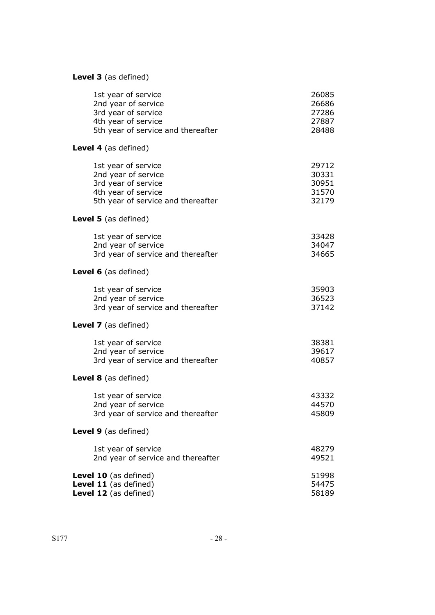# **Level 3** (as defined)

| 26085<br>26686<br>27286<br>27887<br>28488 |
|-------------------------------------------|
|                                           |
| 29712<br>30331<br>30951<br>31570<br>32179 |
|                                           |
| 33428<br>34047<br>34665                   |
|                                           |
| 35903<br>36523<br>37142                   |
|                                           |
| 38381<br>39617<br>40857                   |
|                                           |
| 43332<br>44570<br>45809                   |
|                                           |
| 48279<br>49521                            |
| 51998<br>54475<br>58189                   |
|                                           |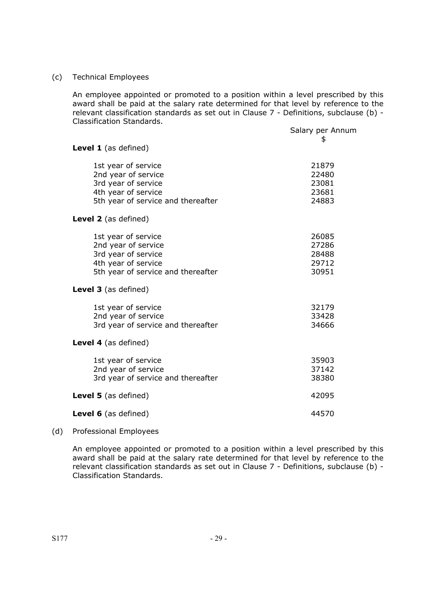#### (c) Technical Employees

An employee appointed or promoted to a position within a level prescribed by this award shall be paid at the salary rate determined for that level by reference to the relevant classification standards as set out in Clause 7 - Definitions, subclause (b) - Classification Standards.

|                                    | Salary per Annum |
|------------------------------------|------------------|
| Level 1 (as defined)               | \$               |
| 1st year of service                | 21879            |
| 2nd year of service                | 22480            |
| 3rd year of service                | 23081            |
| 4th year of service                | 23681            |
| 5th year of service and thereafter | 24883            |
| Level 2 (as defined)               |                  |
| 1st year of service                | 26085            |
| 2nd year of service                | 27286            |
| 3rd year of service                | 28488            |
| 4th year of service                | 29712            |
| 5th year of service and thereafter | 30951            |
| Level 3 (as defined)               |                  |
| 1st year of service                | 32179            |
| 2nd year of service                | 33428            |
| 3rd year of service and thereafter | 34666            |
| Level 4 (as defined)               |                  |
| 1st year of service                | 35903            |
| 2nd year of service                | 37142            |
| 3rd year of service and thereafter | 38380            |
| Level 5 (as defined)               | 42095            |
| <b>Level 6</b> (as defined)        | 44570            |
|                                    |                  |

## (d) Professional Employees

An employee appointed or promoted to a position within a level prescribed by this award shall be paid at the salary rate determined for that level by reference to the relevant classification standards as set out in Clause 7 - Definitions, subclause (b) - Classification Standards.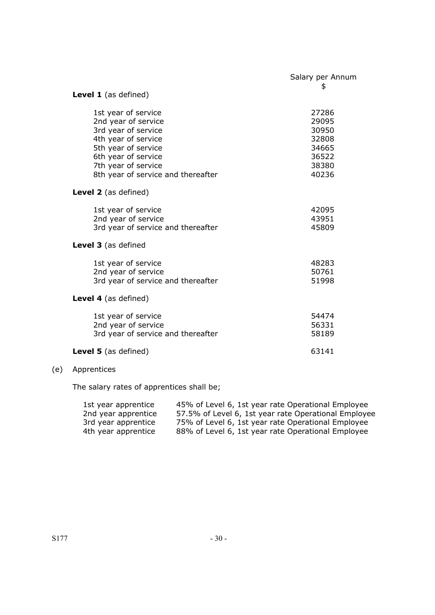|                                                                                                                                                                                                     | Salary per Annum<br>\$                                               |
|-----------------------------------------------------------------------------------------------------------------------------------------------------------------------------------------------------|----------------------------------------------------------------------|
| Level 1 (as defined)                                                                                                                                                                                |                                                                      |
| 1st year of service<br>2nd year of service<br>3rd year of service<br>4th year of service<br>5th year of service<br>6th year of service<br>7th year of service<br>8th year of service and thereafter | 27286<br>29095<br>30950<br>32808<br>34665<br>36522<br>38380<br>40236 |
| <b>Level 2</b> (as defined)                                                                                                                                                                         |                                                                      |
| 1st year of service<br>2nd year of service<br>3rd year of service and thereafter                                                                                                                    | 42095<br>43951<br>45809                                              |
| Level 3 (as defined                                                                                                                                                                                 |                                                                      |
| 1st year of service<br>2nd year of service<br>3rd year of service and thereafter                                                                                                                    | 48283<br>50761<br>51998                                              |
| Level 4 (as defined)                                                                                                                                                                                |                                                                      |
| 1st year of service<br>2nd year of service<br>3rd year of service and thereafter                                                                                                                    | 54474<br>56331<br>58189                                              |
| <b>Level 5</b> (as defined)                                                                                                                                                                         | 63141                                                                |

# (e) Apprentices

The salary rates of apprentices shall be;

| 1st year apprentice | 45% of Level 6, 1st year rate Operational Employee   |
|---------------------|------------------------------------------------------|
| 2nd year apprentice | 57.5% of Level 6, 1st year rate Operational Employee |
| 3rd year apprentice | 75% of Level 6, 1st year rate Operational Employee   |
| 4th year apprentice | 88% of Level 6, 1st year rate Operational Employee   |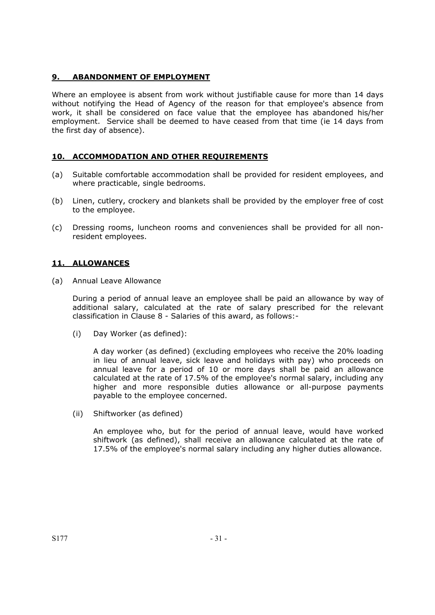## **9. ABANDONMENT OF EMPLOYMENT**

Where an employee is absent from work without justifiable cause for more than 14 days without notifying the Head of Agency of the reason for that employee's absence from work, it shall be considered on face value that the employee has abandoned his/her employment. Service shall be deemed to have ceased from that time (ie 14 days from the first day of absence).

## **10. ACCOMMODATION AND OTHER REQUIREMENTS**

- (a) Suitable comfortable accommodation shall be provided for resident employees, and where practicable, single bedrooms.
- (b) Linen, cutlery, crockery and blankets shall be provided by the employer free of cost to the employee.
- (c) Dressing rooms, luncheon rooms and conveniences shall be provided for all nonresident employees.

## **11. ALLOWANCES**

(a) Annual Leave Allowance

During a period of annual leave an employee shall be paid an allowance by way of additional salary, calculated at the rate of salary prescribed for the relevant classification in Clause 8 - Salaries of this award, as follows:-

(i) Day Worker (as defined):

A day worker (as defined) (excluding employees who receive the 20% loading in lieu of annual leave, sick leave and holidays with pay) who proceeds on annual leave for a period of 10 or more days shall be paid an allowance calculated at the rate of 17.5% of the employee's normal salary, including any higher and more responsible duties allowance or all-purpose payments payable to the employee concerned.

(ii) Shiftworker (as defined)

An employee who, but for the period of annual leave, would have worked shiftwork (as defined), shall receive an allowance calculated at the rate of 17.5% of the employee's normal salary including any higher duties allowance.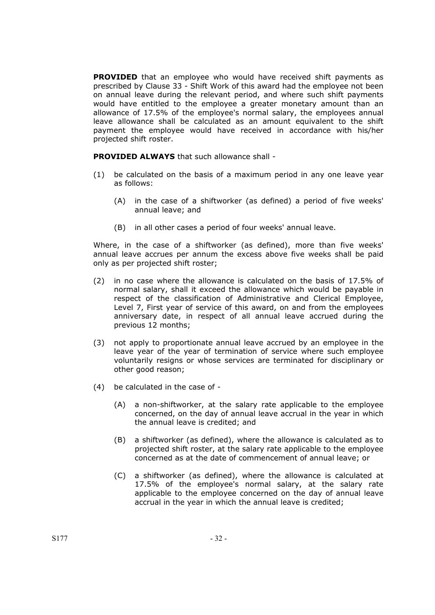**PROVIDED** that an employee who would have received shift payments as prescribed by Clause 33 - Shift Work of this award had the employee not been on annual leave during the relevant period, and where such shift payments would have entitled to the employee a greater monetary amount than an allowance of 17.5% of the employee's normal salary, the employees annual leave allowance shall be calculated as an amount equivalent to the shift payment the employee would have received in accordance with his/her projected shift roster.

**PROVIDED ALWAYS** that such allowance shall -

- (1) be calculated on the basis of a maximum period in any one leave year as follows:
	- (A) in the case of a shiftworker (as defined) a period of five weeks' annual leave; and
	- (B) in all other cases a period of four weeks' annual leave.

Where, in the case of a shiftworker (as defined), more than five weeks' annual leave accrues per annum the excess above five weeks shall be paid only as per projected shift roster;

- (2) in no case where the allowance is calculated on the basis of 17.5% of normal salary, shall it exceed the allowance which would be payable in respect of the classification of Administrative and Clerical Employee, Level 7, First year of service of this award, on and from the employees anniversary date, in respect of all annual leave accrued during the previous 12 months;
- (3) not apply to proportionate annual leave accrued by an employee in the leave year of the year of termination of service where such employee voluntarily resigns or whose services are terminated for disciplinary or other good reason;
- (4) be calculated in the case of
	- (A) a non-shiftworker, at the salary rate applicable to the employee concerned, on the day of annual leave accrual in the year in which the annual leave is credited; and
	- (B) a shiftworker (as defined), where the allowance is calculated as to projected shift roster, at the salary rate applicable to the employee concerned as at the date of commencement of annual leave; or
	- (C) a shiftworker (as defined), where the allowance is calculated at 17.5% of the employee's normal salary, at the salary rate applicable to the employee concerned on the day of annual leave accrual in the year in which the annual leave is credited;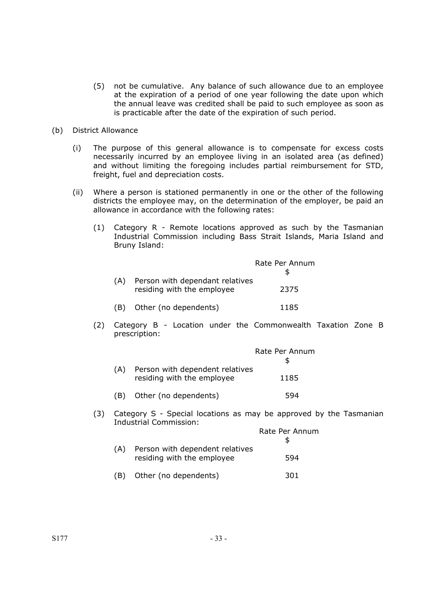- (5) not be cumulative. Any balance of such allowance due to an employee at the expiration of a period of one year following the date upon which the annual leave was credited shall be paid to such employee as soon as is practicable after the date of the expiration of such period.
- (b) District Allowance
	- (i) The purpose of this general allowance is to compensate for excess costs necessarily incurred by an employee living in an isolated area (as defined) and without limiting the foregoing includes partial reimbursement for STD, freight, fuel and depreciation costs.
	- (ii) Where a person is stationed permanently in one or the other of the following districts the employee may, on the determination of the employer, be paid an allowance in accordance with the following rates:
		- (1) Category R Remote locations approved as such by the Tasmanian Industrial Commission including Bass Strait Islands, Maria Island and Bruny Island:

|     |                                 | Rate Per Annum |
|-----|---------------------------------|----------------|
| (A) | Person with dependant relatives |                |
|     | residing with the employee      | 2375           |
| (B) | Other (no dependents)           | 1185           |

(2) Category B - Location under the Commonwealth Taxation Zone B prescription:

|     |                                                               | Rate Per Annum |
|-----|---------------------------------------------------------------|----------------|
| (A) | Person with dependent relatives<br>residing with the employee | 1185           |
| (B) | Other (no dependents)                                         | 594            |

(3) Category S - Special locations as may be approved by the Tasmanian Industrial Commission:

|     |                                                               | Rate Per Annum |
|-----|---------------------------------------------------------------|----------------|
| (A) | Person with dependent relatives<br>residing with the employee | 594            |
|     | Other (no dependents)                                         | 301            |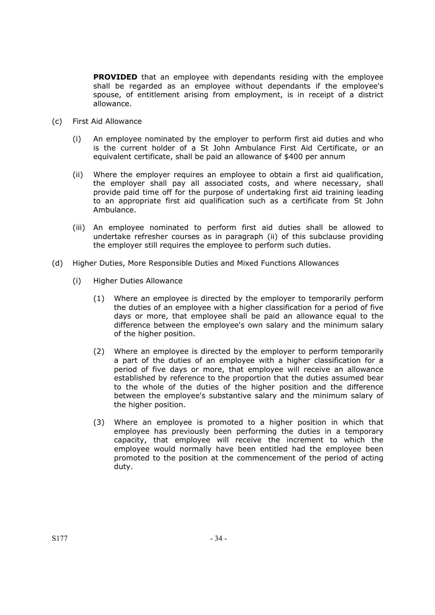**PROVIDED** that an employee with dependants residing with the employee shall be regarded as an employee without dependants if the employee's spouse, of entitlement arising from employment, is in receipt of a district allowance.

- (c) First Aid Allowance
	- (i) An employee nominated by the employer to perform first aid duties and who is the current holder of a St John Ambulance First Aid Certificate, or an equivalent certificate, shall be paid an allowance of \$400 per annum
	- (ii) Where the employer requires an employee to obtain a first aid qualification, the employer shall pay all associated costs, and where necessary, shall provide paid time off for the purpose of undertaking first aid training leading to an appropriate first aid qualification such as a certificate from St John Ambulance.
	- (iii) An employee nominated to perform first aid duties shall be allowed to undertake refresher courses as in paragraph (ii) of this subclause providing the employer still requires the employee to perform such duties.
- (d) Higher Duties, More Responsible Duties and Mixed Functions Allowances
	- (i) Higher Duties Allowance
		- (1) Where an employee is directed by the employer to temporarily perform the duties of an employee with a higher classification for a period of five days or more, that employee shall be paid an allowance equal to the difference between the employee's own salary and the minimum salary of the higher position.
		- (2) Where an employee is directed by the employer to perform temporarily a part of the duties of an employee with a higher classification for a period of five days or more, that employee will receive an allowance established by reference to the proportion that the duties assumed bear to the whole of the duties of the higher position and the difference between the employee's substantive salary and the minimum salary of the higher position.
		- (3) Where an employee is promoted to a higher position in which that employee has previously been performing the duties in a temporary capacity, that employee will receive the increment to which the employee would normally have been entitled had the employee been promoted to the position at the commencement of the period of acting duty.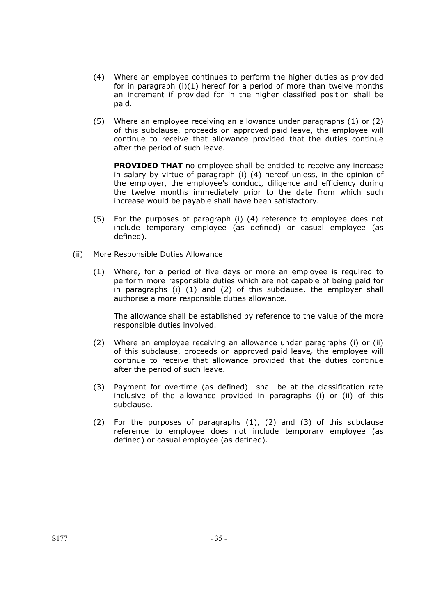- (4) Where an employee continues to perform the higher duties as provided for in paragraph (i)(1) hereof for a period of more than twelve months an increment if provided for in the higher classified position shall be paid.
- (5) Where an employee receiving an allowance under paragraphs (1) or (2) of this subclause, proceeds on approved paid leave, the employee will continue to receive that allowance provided that the duties continue after the period of such leave.

**PROVIDED THAT** no employee shall be entitled to receive any increase in salary by virtue of paragraph (i) (4) hereof unless, in the opinion of the employer, the employee's conduct, diligence and efficiency during the twelve months immediately prior to the date from which such increase would be payable shall have been satisfactory.

- (5) For the purposes of paragraph (i) (4) reference to employee does not include temporary employee (as defined) or casual employee (as defined).
- (ii) More Responsible Duties Allowance
	- (1) Where, for a period of five days or more an employee is required to perform more responsible duties which are not capable of being paid for in paragraphs (i) (1) and (2) of this subclause, the employer shall authorise a more responsible duties allowance.

The allowance shall be established by reference to the value of the more responsible duties involved.

- (2) Where an employee receiving an allowance under paragraphs (i) or (ii) of this subclause, proceeds on approved paid leave*,* the employee will continue to receive that allowance provided that the duties continue after the period of such leave.
- (3) Payment for overtime (as defined) shall be at the classification rate inclusive of the allowance provided in paragraphs (i) or (ii) of this subclause.
- (2) For the purposes of paragraphs (1), (2) and (3) of this subclause reference to employee does not include temporary employee (as defined) or casual employee (as defined).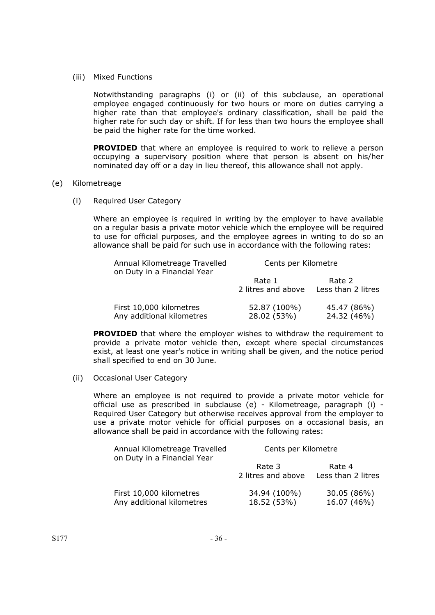(iii) Mixed Functions

Notwithstanding paragraphs (i) or (ii) of this subclause, an operational employee engaged continuously for two hours or more on duties carrying a higher rate than that employee's ordinary classification, shall be paid the higher rate for such day or shift. If for less than two hours the employee shall be paid the higher rate for the time worked.

**PROVIDED** that where an employee is required to work to relieve a person occupying a supervisory position where that person is absent on his/her nominated day off or a day in lieu thereof, this allowance shall not apply.

#### (e) Kilometreage

(i) Required User Category

Where an employee is required in writing by the employer to have available on a regular basis a private motor vehicle which the employee will be required to use for official purposes, and the employee agrees in writing to do so an allowance shall be paid for such use in accordance with the following rates:

| Annual Kilometreage Travelled<br>on Duty in a Financial Year | Cents per Kilometre          |                              |
|--------------------------------------------------------------|------------------------------|------------------------------|
|                                                              | Rate 1<br>2 litres and above | Rate 2<br>Less than 2 litres |
| First 10,000 kilometres<br>Any additional kilometres         | 52.87 (100%)<br>28.02 (53%)  | 45.47 (86%)<br>24.32 (46%)   |

**PROVIDED** that where the employer wishes to withdraw the requirement to provide a private motor vehicle then, except where special circumstances exist, at least one year's notice in writing shall be given, and the notice period shall specified to end on 30 June.

(ii) Occasional User Category

Where an employee is not required to provide a private motor vehicle for official use as prescribed in subclause (e) - Kilometreage, paragraph (i) - Required User Category but otherwise receives approval from the employer to use a private motor vehicle for official purposes on a occasional basis, an allowance shall be paid in accordance with the following rates:

| Annual Kilometreage Travelled<br>on Duty in a Financial Year | Cents per Kilometre          |                              |
|--------------------------------------------------------------|------------------------------|------------------------------|
|                                                              | Rate 3<br>2 litres and above | Rate 4<br>Less than 2 litres |
| First 10,000 kilometres<br>Any additional kilometres         | 34.94 (100%)<br>18.52 (53%)  | 30.05 (86%)<br>16.07 (46%)   |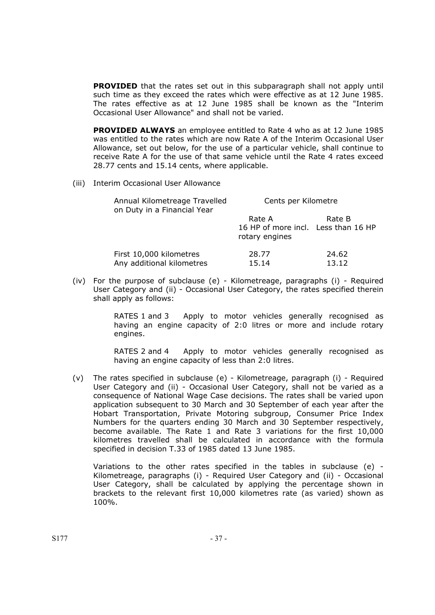**PROVIDED** that the rates set out in this subparagraph shall not apply until such time as they exceed the rates which were effective as at 12 June 1985. The rates effective as at 12 June 1985 shall be known as the "Interim Occasional User Allowance" and shall not be varied.

 **PROVIDED ALWAYS** an employee entitled to Rate 4 who as at 12 June 1985 was entitled to the rates which are now Rate A of the Interim Occasional User Allowance, set out below, for the use of a particular vehicle, shall continue to receive Rate A for the use of that same vehicle until the Rate 4 rates exceed 28.77 cents and 15.14 cents, where applicable.

(iii) Interim Occasional User Allowance

| Annual Kilometreage Travelled<br>on Duty in a Financial Year | Cents per Kilometre                                             |                |
|--------------------------------------------------------------|-----------------------------------------------------------------|----------------|
|                                                              | Rate A<br>16 HP of more incl. Less than 16 HP<br>rotary engines | Rate B         |
| First 10,000 kilometres<br>Any additional kilometres         | 28.77<br>15.14                                                  | 24.62<br>13.12 |

 (iv) For the purpose of subclause (e) - Kilometreage, paragraphs (i) - Required User Category and (ii) - Occasional User Category, the rates specified therein shall apply as follows:

> RATES 1 and 3 Apply to motor vehicles generally recognised as having an engine capacity of 2:0 litres or more and include rotary engines.

> RATES 2 and 4 Apply to motor vehicles generally recognised as having an engine capacity of less than 2:0 litres.

(v) The rates specified in subclause (e) - Kilometreage, paragraph (i) - Required User Category and (ii) - Occasional User Category, shall not be varied as a consequence of National Wage Case decisions. The rates shall be varied upon application subsequent to 30 March and 30 September of each year after the Hobart Transportation, Private Motoring subgroup, Consumer Price Index Numbers for the quarters ending 30 March and 30 September respectively, become available. The Rate 1 and Rate 3 variations for the first 10,000 kilometres travelled shall be calculated in accordance with the formula specified in decision T.33 of 1985 dated 13 June 1985.

Variations to the other rates specified in the tables in subclause (e) - Kilometreage, paragraphs (i) - Required User Category and (ii) - Occasional User Category, shall be calculated by applying the percentage shown in brackets to the relevant first 10,000 kilometres rate (as varied) shown as 100%.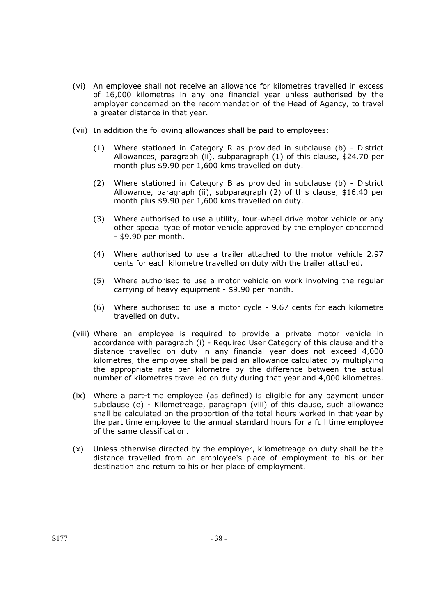- (vi) An employee shall not receive an allowance for kilometres travelled in excess of 16,000 kilometres in any one financial year unless authorised by the employer concerned on the recommendation of the Head of Agency, to travel a greater distance in that year.
- (vii) In addition the following allowances shall be paid to employees:
	- (1) Where stationed in Category R as provided in subclause (b) District Allowances, paragraph (ii), subparagraph (1) of this clause, \$24.70 per month plus \$9.90 per 1,600 kms travelled on duty.
	- (2) Where stationed in Category B as provided in subclause (b) District Allowance, paragraph (ii), subparagraph (2) of this clause, \$16.40 per month plus \$9.90 per 1,600 kms travelled on duty.
	- (3) Where authorised to use a utility, four-wheel drive motor vehicle or any other special type of motor vehicle approved by the employer concerned - \$9.90 per month.
	- (4) Where authorised to use a trailer attached to the motor vehicle 2.97 cents for each kilometre travelled on duty with the trailer attached.
	- (5) Where authorised to use a motor vehicle on work involving the regular carrying of heavy equipment - \$9.90 per month.
	- (6) Where authorised to use a motor cycle 9.67 cents for each kilometre travelled on duty.
- (viii) Where an employee is required to provide a private motor vehicle in accordance with paragraph (i) - Required User Category of this clause and the distance travelled on duty in any financial year does not exceed 4,000 kilometres, the employee shall be paid an allowance calculated by multiplying the appropriate rate per kilometre by the difference between the actual number of kilometres travelled on duty during that year and 4,000 kilometres.
- (ix) Where a part-time employee (as defined) is eligible for any payment under subclause (e) - Kilometreage, paragraph (viii) of this clause, such allowance shall be calculated on the proportion of the total hours worked in that year by the part time employee to the annual standard hours for a full time employee of the same classification.
- (x) Unless otherwise directed by the employer, kilometreage on duty shall be the distance travelled from an employee's place of employment to his or her destination and return to his or her place of employment.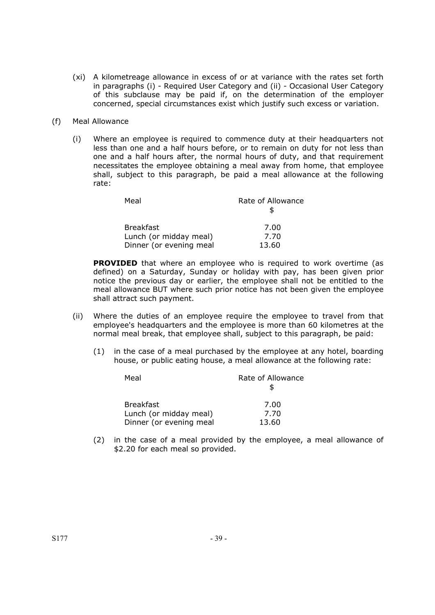- (xi) A kilometreage allowance in excess of or at variance with the rates set forth in paragraphs (i) - Required User Category and (ii) - Occasional User Category of this subclause may be paid if, on the determination of the employer concerned, special circumstances exist which justify such excess or variation.
- (f) Meal Allowance
	- (i) Where an employee is required to commence duty at their headquarters not less than one and a half hours before, or to remain on duty for not less than one and a half hours after, the normal hours of duty, and that requirement necessitates the employee obtaining a meal away from home, that employee shall, subject to this paragraph, be paid a meal allowance at the following rate:

| Meal                    | Rate of Allowance |
|-------------------------|-------------------|
| <b>Breakfast</b>        | 7.00              |
| Lunch (or midday meal)  | 7.70              |
| Dinner (or evening meal | 13.60             |

**PROVIDED** that where an employee who is required to work overtime (as defined) on a Saturday, Sunday or holiday with pay, has been given prior notice the previous day or earlier, the employee shall not be entitled to the meal allowance BUT where such prior notice has not been given the employee shall attract such payment.

- (ii) Where the duties of an employee require the employee to travel from that employee's headquarters and the employee is more than 60 kilometres at the normal meal break, that employee shall, subject to this paragraph, be paid:
	- (1) in the case of a meal purchased by the employee at any hotel, boarding house, or public eating house, a meal allowance at the following rate:

| Meal                    | Rate of Allowance |
|-------------------------|-------------------|
| <b>Breakfast</b>        | 7.00              |
| Lunch (or midday meal)  | 7.70              |
| Dinner (or evening meal | 13.60             |

(2) in the case of a meal provided by the employee, a meal allowance of \$2.20 for each meal so provided.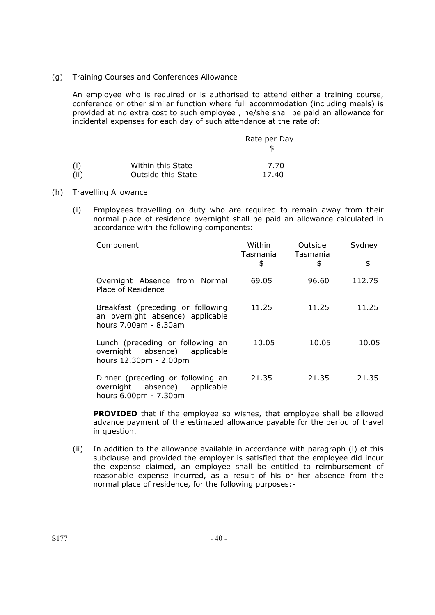(g) Training Courses and Conferences Allowance

An employee who is required or is authorised to attend either a training course, conference or other similar function where full accommodation (including meals) is provided at no extra cost to such employee , he/she shall be paid an allowance for incidental expenses for each day of such attendance at the rate of:

|      |                    | Rate per Day |
|------|--------------------|--------------|
| (i)  | Within this State  | 7.70         |
| (ii) | Outside this State | 17.40        |

- (h) Travelling Allowance
	- (i) Employees travelling on duty who are required to remain away from their normal place of residence overnight shall be paid an allowance calculated in accordance with the following components:

| Component                                                                                      | Within<br>Tasmania<br>\$ | Outside<br>Tasmania<br>\$ | Sydney<br>\$ |
|------------------------------------------------------------------------------------------------|--------------------------|---------------------------|--------------|
| Overnight Absence from Normal<br>Place of Residence                                            | 69.05                    | 96.60                     | 112.75       |
| Breakfast (preceding or following<br>an overnight absence) applicable<br>hours 7.00am - 8.30am | 11.25                    | 11.25                     | 11.25        |
| Lunch (preceding or following an<br>overnight absence) applicable<br>hours 12.30pm - 2.00pm    | 10.05                    | 10.05                     | 10.05        |
| Dinner (preceding or following an<br>overnight absence) applicable<br>hours 6.00pm - 7.30pm    | 21.35                    | 21.35                     | 21.35        |

**PROVIDED** that if the employee so wishes, that employee shall be allowed advance payment of the estimated allowance payable for the period of travel in question.

(ii) In addition to the allowance available in accordance with paragraph (i) of this subclause and provided the employer is satisfied that the employee did incur the expense claimed, an employee shall be entitled to reimbursement of reasonable expense incurred, as a result of his or her absence from the normal place of residence, for the following purposes:-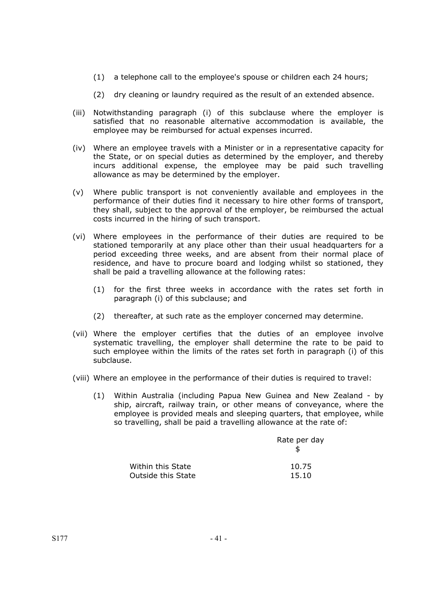- (1) a telephone call to the employee's spouse or children each 24 hours;
- (2) dry cleaning or laundry required as the result of an extended absence.
- (iii) Notwithstanding paragraph (i) of this subclause where the employer is satisfied that no reasonable alternative accommodation is available, the employee may be reimbursed for actual expenses incurred.
- (iv) Where an employee travels with a Minister or in a representative capacity for the State, or on special duties as determined by the employer, and thereby incurs additional expense, the employee may be paid such travelling allowance as may be determined by the employer.
- (v) Where public transport is not conveniently available and employees in the performance of their duties find it necessary to hire other forms of transport, they shall, subject to the approval of the employer, be reimbursed the actual costs incurred in the hiring of such transport.
- (vi) Where employees in the performance of their duties are required to be stationed temporarily at any place other than their usual headquarters for a period exceeding three weeks, and are absent from their normal place of residence, and have to procure board and lodging whilst so stationed, they shall be paid a travelling allowance at the following rates:
	- (1) for the first three weeks in accordance with the rates set forth in paragraph (i) of this subclause; and
	- (2) thereafter, at such rate as the employer concerned may determine.
- (vii) Where the employer certifies that the duties of an employee involve systematic travelling, the employer shall determine the rate to be paid to such employee within the limits of the rates set forth in paragraph (i) of this subclause.
- (viii) Where an employee in the performance of their duties is required to travel:
	- (1) Within Australia (including Papua New Guinea and New Zealand by ship, aircraft, railway train, or other means of conveyance, where the employee is provided meals and sleeping quarters, that employee, while so travelling, shall be paid a travelling allowance at the rate of:

|                    | Rate per day |
|--------------------|--------------|
| Within this State  | 10.75        |
| Outside this State | 15.10        |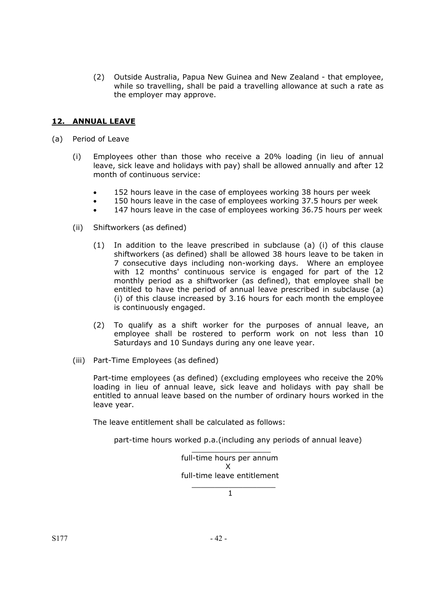(2) Outside Australia, Papua New Guinea and New Zealand - that employee, while so travelling, shall be paid a travelling allowance at such a rate as the employer may approve.

## **12. ANNUAL LEAVE**

- (a) Period of Leave
	- (i) Employees other than those who receive a 20% loading (in lieu of annual leave, sick leave and holidays with pay) shall be allowed annually and after 12 month of continuous service:
		- 152 hours leave in the case of employees working 38 hours per week
		- 150 hours leave in the case of employees working 37.5 hours per week
		- 147 hours leave in the case of employees working 36.75 hours per week
	- (ii) Shiftworkers (as defined)
		- (1) In addition to the leave prescribed in subclause (a) (i) of this clause shiftworkers (as defined) shall be allowed 38 hours leave to be taken in 7 consecutive days including non-working days. Where an employee with 12 months' continuous service is engaged for part of the 12 monthly period as a shiftworker (as defined), that employee shall be entitled to have the period of annual leave prescribed in subclause (a) (i) of this clause increased by 3.16 hours for each month the employee is continuously engaged.
		- (2) To qualify as a shift worker for the purposes of annual leave, an employee shall be rostered to perform work on not less than 10 Saturdays and 10 Sundays during any one leave year.
	- (iii) Part-Time Employees (as defined)

Part-time employees (as defined) (excluding employees who receive the 20% loading in lieu of annual leave, sick leave and holidays with pay shall be entitled to annual leave based on the number of ordinary hours worked in the leave year.

The leave entitlement shall be calculated as follows:

part-time hours worked p.a.(including any periods of annual leave)

 $\mathcal{L}_\text{max} = \mathcal{L}_\text{max} = \mathcal{L}_\text{max} = \mathcal{L}_\text{max} = \mathcal{L}_\text{max} = \mathcal{L}_\text{max} = \mathcal{L}_\text{max}$ full-time hours per annum X full-time leave entitlement  $\mathcal{L}_\mathcal{L} = \{ \mathcal{L}_\mathcal{L} \mid \mathcal{L}_\mathcal{L} \in \mathcal{L}_\mathcal{L} \}$  , where  $\mathcal{L}_\mathcal{L} = \{ \mathcal{L}_\mathcal{L} \mid \mathcal{L}_\mathcal{L} \in \mathcal{L}_\mathcal{L} \}$ 

 $\sim$  1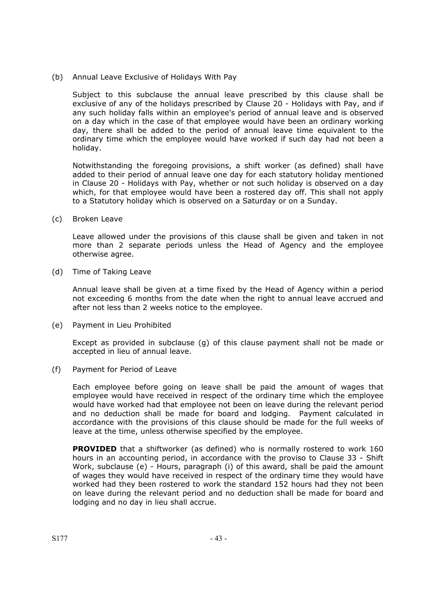(b) Annual Leave Exclusive of Holidays With Pay

Subject to this subclause the annual leave prescribed by this clause shall be exclusive of any of the holidays prescribed by Clause 20 - Holidays with Pay, and if any such holiday falls within an employee's period of annual leave and is observed on a day which in the case of that employee would have been an ordinary working day, there shall be added to the period of annual leave time equivalent to the ordinary time which the employee would have worked if such day had not been a holiday.

Notwithstanding the foregoing provisions, a shift worker (as defined) shall have added to their period of annual leave one day for each statutory holiday mentioned in Clause 20 - Holidays with Pay, whether or not such holiday is observed on a day which, for that employee would have been a rostered day off. This shall not apply to a Statutory holiday which is observed on a Saturday or on a Sunday.

(c) Broken Leave

Leave allowed under the provisions of this clause shall be given and taken in not more than 2 separate periods unless the Head of Agency and the employee otherwise agree.

(d) Time of Taking Leave

Annual leave shall be given at a time fixed by the Head of Agency within a period not exceeding 6 months from the date when the right to annual leave accrued and after not less than 2 weeks notice to the employee.

(e) Payment in Lieu Prohibited

Except as provided in subclause (g) of this clause payment shall not be made or accepted in lieu of annual leave.

(f) Payment for Period of Leave

Each employee before going on leave shall be paid the amount of wages that employee would have received in respect of the ordinary time which the employee would have worked had that employee not been on leave during the relevant period and no deduction shall be made for board and lodging. Payment calculated in accordance with the provisions of this clause should be made for the full weeks of leave at the time, unless otherwise specified by the employee.

**PROVIDED** that a shiftworker (as defined) who is normally rostered to work 160 hours in an accounting period, in accordance with the proviso to Clause 33 - Shift Work, subclause (e) - Hours, paragraph (i) of this award, shall be paid the amount of wages they would have received in respect of the ordinary time they would have worked had they been rostered to work the standard 152 hours had they not been on leave during the relevant period and no deduction shall be made for board and lodging and no day in lieu shall accrue.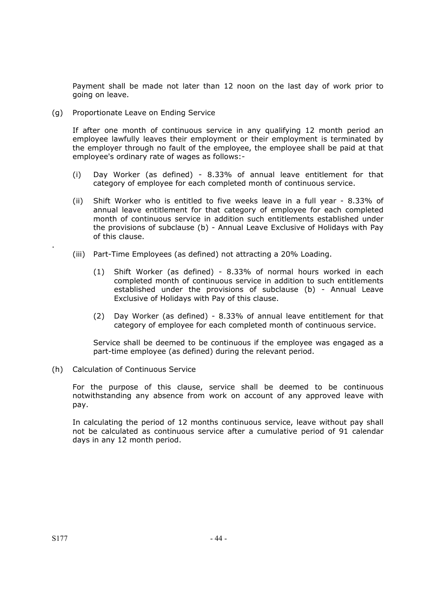Payment shall be made not later than 12 noon on the last day of work prior to going on leave.

(g) Proportionate Leave on Ending Service

If after one month of continuous service in any qualifying 12 month period an employee lawfully leaves their employment or their employment is terminated by the employer through no fault of the employee, the employee shall be paid at that employee's ordinary rate of wages as follows:-

- (i) Day Worker (as defined) 8.33% of annual leave entitlement for that category of employee for each completed month of continuous service.
- (ii) Shift Worker who is entitled to five weeks leave in a full year 8.33% of annual leave entitlement for that category of employee for each completed month of continuous service in addition such entitlements established under the provisions of subclause (b) - Annual Leave Exclusive of Holidays with Pay of this clause.
- (iii) Part-Time Employees (as defined) not attracting a 20% Loading.
	- (1) Shift Worker (as defined) 8.33% of normal hours worked in each completed month of continuous service in addition to such entitlements established under the provisions of subclause (b) - Annual Leave Exclusive of Holidays with Pay of this clause.
	- (2) Day Worker (as defined) 8.33% of annual leave entitlement for that category of employee for each completed month of continuous service.

Service shall be deemed to be continuous if the employee was engaged as a part-time employee (as defined) during the relevant period.

(h) Calculation of Continuous Service

For the purpose of this clause, service shall be deemed to be continuous notwithstanding any absence from work on account of any approved leave with pay.

In calculating the period of 12 months continuous service, leave without pay shall not be calculated as continuous service after a cumulative period of 91 calendar days in any 12 month period.

.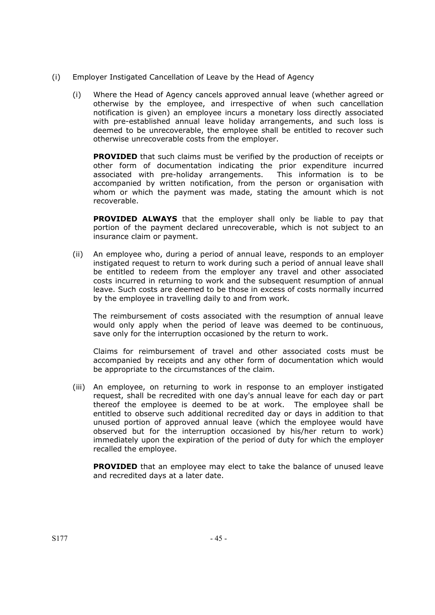- (i) Employer Instigated Cancellation of Leave by the Head of Agency
	- (i) Where the Head of Agency cancels approved annual leave (whether agreed or otherwise by the employee, and irrespective of when such cancellation notification is given) an employee incurs a monetary loss directly associated with pre-established annual leave holiday arrangements, and such loss is deemed to be unrecoverable, the employee shall be entitled to recover such otherwise unrecoverable costs from the employer.

**PROVIDED** that such claims must be verified by the production of receipts or other form of documentation indicating the prior expenditure incurred associated with pre-holiday arrangements. This information is to be accompanied by written notification, from the person or organisation with whom or which the payment was made, stating the amount which is not recoverable.

 **PROVIDED ALWAYS** that the employer shall only be liable to pay that portion of the payment declared unrecoverable, which is not subject to an insurance claim or payment.

(ii) An employee who, during a period of annual leave, responds to an employer instigated request to return to work during such a period of annual leave shall be entitled to redeem from the employer any travel and other associated costs incurred in returning to work and the subsequent resumption of annual leave. Such costs are deemed to be those in excess of costs normally incurred by the employee in travelling daily to and from work.

The reimbursement of costs associated with the resumption of annual leave would only apply when the period of leave was deemed to be continuous, save only for the interruption occasioned by the return to work.

Claims for reimbursement of travel and other associated costs must be accompanied by receipts and any other form of documentation which would be appropriate to the circumstances of the claim.

(iii) An employee, on returning to work in response to an employer instigated request, shall be recredited with one day's annual leave for each day or part thereof the employee is deemed to be at work. The employee shall be entitled to observe such additional recredited day or days in addition to that unused portion of approved annual leave (which the employee would have observed but for the interruption occasioned by his/her return to work) immediately upon the expiration of the period of duty for which the employer recalled the employee.

**PROVIDED** that an employee may elect to take the balance of unused leave and recredited days at a later date.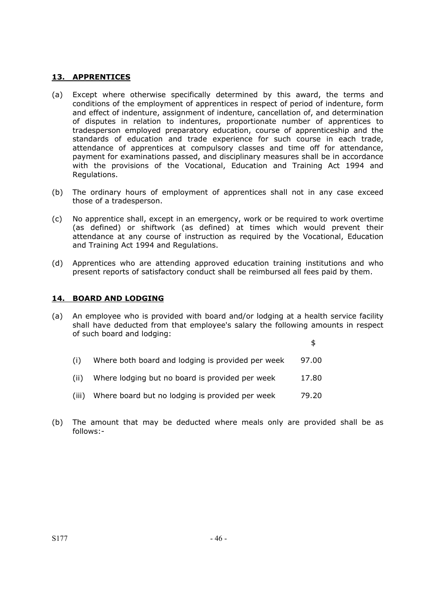### **13. APPRENTICES**

- (a) Except where otherwise specifically determined by this award, the terms and conditions of the employment of apprentices in respect of period of indenture, form and effect of indenture, assignment of indenture, cancellation of, and determination of disputes in relation to indentures, proportionate number of apprentices to tradesperson employed preparatory education, course of apprenticeship and the standards of education and trade experience for such course in each trade, attendance of apprentices at compulsory classes and time off for attendance, payment for examinations passed, and disciplinary measures shall be in accordance with the provisions of the Vocational, Education and Training Act 1994 and Regulations.
- (b) The ordinary hours of employment of apprentices shall not in any case exceed those of a tradesperson.
- (c) No apprentice shall, except in an emergency, work or be required to work overtime (as defined) or shiftwork (as defined) at times which would prevent their attendance at any course of instruction as required by the Vocational, Education and Training Act 1994 and Regulations.
- (d) Apprentices who are attending approved education training institutions and who present reports of satisfactory conduct shall be reimbursed all fees paid by them.

### **14. BOARD AND LODGING**

(a) An employee who is provided with board and/or lodging at a health service facility shall have deducted from that employee's salary the following amounts in respect of such board and lodging:

 $\mathfrak{p}$ 

- $(i)$  Where both board and lodging is provided per week 97.00
- (ii) Where lodging but no board is provided per week 17.80
- (iii) Where board but no lodging is provided per week 79.20
- (b) The amount that may be deducted where meals only are provided shall be as follows:-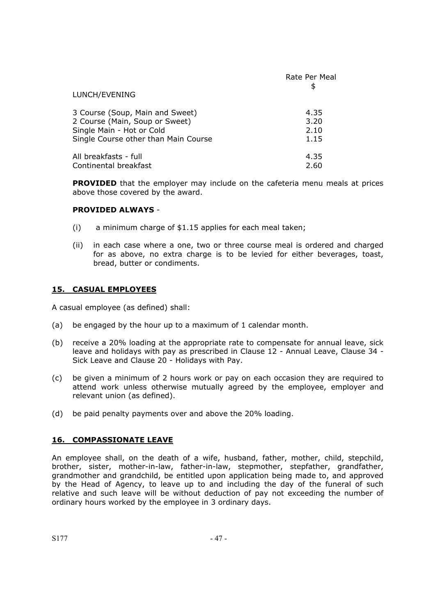|                                      | Rate Per Meal |
|--------------------------------------|---------------|
| LUNCH/EVENING                        |               |
| 3 Course (Soup, Main and Sweet)      | 4.35          |
| 2 Course (Main, Soup or Sweet)       | 3.20          |
| Single Main - Hot or Cold            | 2.10          |
| Single Course other than Main Course | 1.15          |
| All breakfasts - full                | 4.35          |
| Continental breakfast                | 2.60          |

**PROVIDED** that the employer may include on the cafeteria menu meals at prices above those covered by the award.

#### **PROVIDED ALWAYS** -

- (i) a minimum charge of \$1.15 applies for each meal taken;
- (ii) in each case where a one, two or three course meal is ordered and charged for as above, no extra charge is to be levied for either beverages, toast, bread, butter or condiments.

### **15. CASUAL EMPLOYEES**

A casual employee (as defined) shall:

- (a) be engaged by the hour up to a maximum of 1 calendar month.
- (b) receive a 20% loading at the appropriate rate to compensate for annual leave, sick leave and holidays with pay as prescribed in Clause 12 - Annual Leave, Clause 34 - Sick Leave and Clause 20 - Holidays with Pay.
- (c) be given a minimum of 2 hours work or pay on each occasion they are required to attend work unless otherwise mutually agreed by the employee, employer and relevant union (as defined).
- (d) be paid penalty payments over and above the 20% loading.

#### **16. COMPASSIONATE LEAVE**

An employee shall, on the death of a wife, husband, father, mother, child, stepchild, brother, sister, mother-in-law, father-in-law, stepmother, stepfather, grandfather, grandmother and grandchild, be entitled upon application being made to, and approved by the Head of Agency, to leave up to and including the day of the funeral of such relative and such leave will be without deduction of pay not exceeding the number of ordinary hours worked by the employee in 3 ordinary days.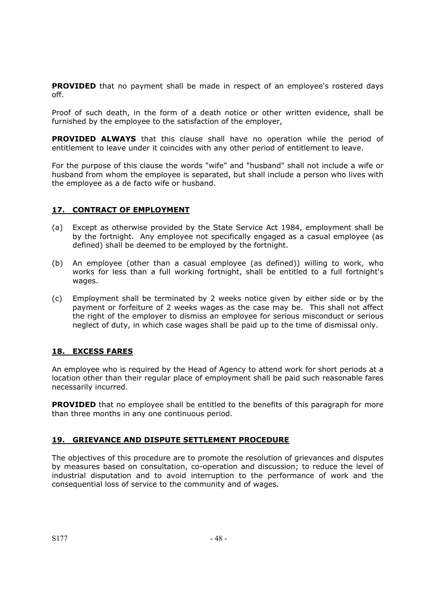**PROVIDED** that no payment shall be made in respect of an employee's rostered days off.

Proof of such death, in the form of a death notice or other written evidence, shall be furnished by the employee to the satisfaction of the employer,

**PROVIDED ALWAYS** that this clause shall have no operation while the period of entitlement to leave under it coincides with any other period of entitlement to leave.

For the purpose of this clause the words "wife" and "husband" shall not include a wife or husband from whom the employee is separated, but shall include a person who lives with the employee as a de facto wife or husband.

### **17. CONTRACT OF EMPLOYMENT**

- (a) Except as otherwise provided by the State Service Act 1984, employment shall be by the fortnight. Any employee not specifically engaged as a casual employee (as defined) shall be deemed to be employed by the fortnight.
- (b) An employee (other than a casual employee (as defined)) willing to work, who works for less than a full working fortnight, shall be entitled to a full fortnight's wages.
- (c) Employment shall be terminated by 2 weeks notice given by either side or by the payment or forfeiture of 2 weeks wages as the case may be. This shall not affect the right of the employer to dismiss an employee for serious misconduct or serious neglect of duty, in which case wages shall be paid up to the time of dismissal only.

## **18. EXCESS FARES**

An employee who is required by the Head of Agency to attend work for short periods at a location other than their regular place of employment shall be paid such reasonable fares necessarily incurred.

**PROVIDED** that no employee shall be entitled to the benefits of this paragraph for more than three months in any one continuous period.

## **19. GRIEVANCE AND DISPUTE SETTLEMENT PROCEDURE**

The objectives of this procedure are to promote the resolution of grievances and disputes by measures based on consultation, co-operation and discussion; to reduce the level of industrial disputation and to avoid interruption to the performance of work and the consequential loss of service to the community and of wages.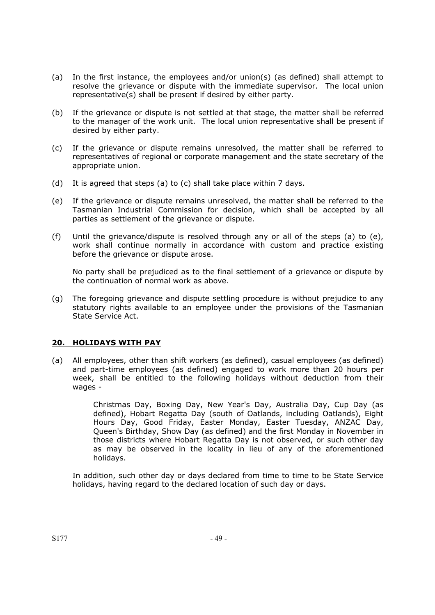- (a) In the first instance, the employees and/or union(s) (as defined) shall attempt to resolve the grievance or dispute with the immediate supervisor. The local union representative(s) shall be present if desired by either party.
- (b) If the grievance or dispute is not settled at that stage, the matter shall be referred to the manager of the work unit. The local union representative shall be present if desired by either party.
- (c) If the grievance or dispute remains unresolved, the matter shall be referred to representatives of regional or corporate management and the state secretary of the appropriate union.
- (d) It is agreed that steps (a) to (c) shall take place within 7 days.
- (e) If the grievance or dispute remains unresolved, the matter shall be referred to the Tasmanian Industrial Commission for decision, which shall be accepted by all parties as settlement of the grievance or dispute.
- (f) Until the grievance/dispute is resolved through any or all of the steps (a) to (e), work shall continue normally in accordance with custom and practice existing before the grievance or dispute arose.

No party shall be prejudiced as to the final settlement of a grievance or dispute by the continuation of normal work as above.

(g) The foregoing grievance and dispute settling procedure is without prejudice to any statutory rights available to an employee under the provisions of the Tasmanian State Service Act.

## **20. HOLIDAYS WITH PAY**

(a) All employees, other than shift workers (as defined), casual employees (as defined) and part-time employees (as defined) engaged to work more than 20 hours per week, shall be entitled to the following holidays without deduction from their wages -

> Christmas Day, Boxing Day, New Year's Day, Australia Day, Cup Day (as defined), Hobart Regatta Day (south of Oatlands, including Oatlands), Eight Hours Day, Good Friday, Easter Monday, Easter Tuesday, ANZAC Day, Queen's Birthday, Show Day (as defined) and the first Monday in November in those districts where Hobart Regatta Day is not observed, or such other day as may be observed in the locality in lieu of any of the aforementioned holidays.

In addition, such other day or days declared from time to time to be State Service holidays, having regard to the declared location of such day or days.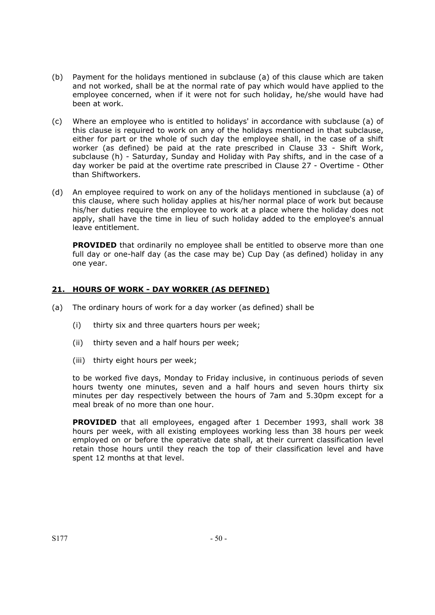- (b) Payment for the holidays mentioned in subclause (a) of this clause which are taken and not worked, shall be at the normal rate of pay which would have applied to the employee concerned, when if it were not for such holiday, he/she would have had been at work.
- (c) Where an employee who is entitled to holidays' in accordance with subclause (a) of this clause is required to work on any of the holidays mentioned in that subclause, either for part or the whole of such day the employee shall, in the case of a shift worker (as defined) be paid at the rate prescribed in Clause 33 - Shift Work, subclause (h) - Saturday, Sunday and Holiday with Pay shifts, and in the case of a day worker be paid at the overtime rate prescribed in Clause 27 - Overtime - Other than Shiftworkers.
- (d) An employee required to work on any of the holidays mentioned in subclause (a) of this clause, where such holiday applies at his/her normal place of work but because his/her duties require the employee to work at a place where the holiday does not apply, shall have the time in lieu of such holiday added to the employee's annual leave entitlement.

**PROVIDED** that ordinarily no employee shall be entitled to observe more than one full day or one-half day (as the case may be) Cup Day (as defined) holiday in any one year.

## **21. HOURS OF WORK - DAY WORKER (AS DEFINED)**

- (a) The ordinary hours of work for a day worker (as defined) shall be
	- (i) thirty six and three quarters hours per week;
	- (ii) thirty seven and a half hours per week;
	- (iii) thirty eight hours per week;

to be worked five days, Monday to Friday inclusive, in continuous periods of seven hours twenty one minutes, seven and a half hours and seven hours thirty six minutes per day respectively between the hours of 7am and 5.30pm except for a meal break of no more than one hour.

**PROVIDED** that all employees, engaged after 1 December 1993, shall work 38 hours per week, with all existing employees working less than 38 hours per week employed on or before the operative date shall, at their current classification level retain those hours until they reach the top of their classification level and have spent 12 months at that level.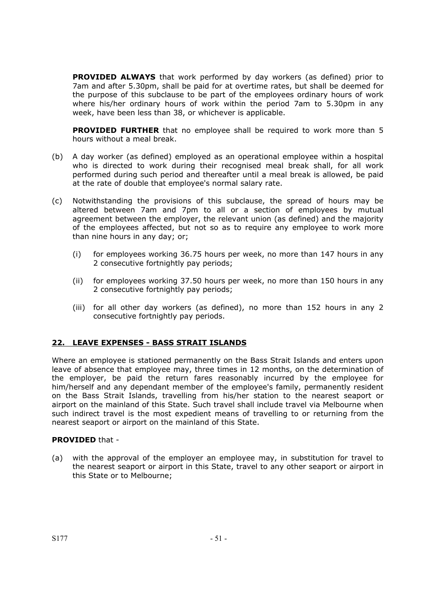**PROVIDED ALWAYS** that work performed by day workers (as defined) prior to 7am and after 5.30pm, shall be paid for at overtime rates, but shall be deemed for the purpose of this subclause to be part of the employees ordinary hours of work where his/her ordinary hours of work within the period 7am to 5.30pm in any week, have been less than 38, or whichever is applicable.

 **PROVIDED FURTHER** that no employee shall be required to work more than 5 hours without a meal break.

- (b) A day worker (as defined) employed as an operational employee within a hospital who is directed to work during their recognised meal break shall, for all work performed during such period and thereafter until a meal break is allowed, be paid at the rate of double that employee's normal salary rate.
- (c) Notwithstanding the provisions of this subclause, the spread of hours may be altered between 7am and 7pm to all or a section of employees by mutual agreement between the employer, the relevant union (as defined) and the majority of the employees affected, but not so as to require any employee to work more than nine hours in any day; or;
	- (i) for employees working 36.75 hours per week, no more than 147 hours in any 2 consecutive fortnightly pay periods;
	- (ii) for employees working 37.50 hours per week, no more than 150 hours in any 2 consecutive fortnightly pay periods;
	- (iii) for all other day workers (as defined), no more than 152 hours in any 2 consecutive fortnightly pay periods.

## **22. LEAVE EXPENSES - BASS STRAIT ISLANDS**

Where an employee is stationed permanently on the Bass Strait Islands and enters upon leave of absence that employee may, three times in 12 months, on the determination of the employer, be paid the return fares reasonably incurred by the employee for him/herself and any dependant member of the employee's family, permanently resident on the Bass Strait Islands, travelling from his/her station to the nearest seaport or airport on the mainland of this State. Such travel shall include travel via Melbourne when such indirect travel is the most expedient means of travelling to or returning from the nearest seaport or airport on the mainland of this State.

#### **PROVIDED** that -

(a) with the approval of the employer an employee may, in substitution for travel to the nearest seaport or airport in this State, travel to any other seaport or airport in this State or to Melbourne;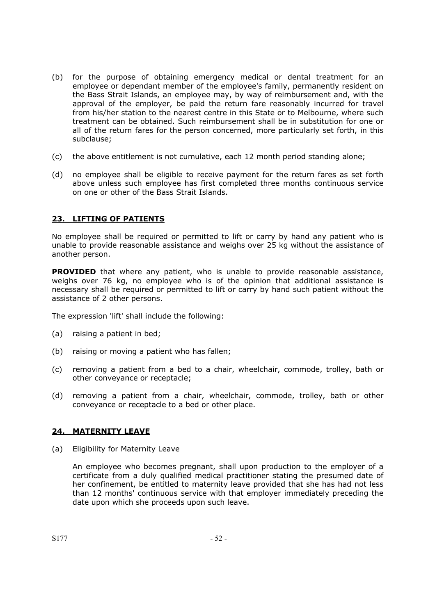- (b) for the purpose of obtaining emergency medical or dental treatment for an employee or dependant member of the employee's family, permanently resident on the Bass Strait Islands, an employee may, by way of reimbursement and, with the approval of the employer, be paid the return fare reasonably incurred for travel from his/her station to the nearest centre in this State or to Melbourne, where such treatment can be obtained. Such reimbursement shall be in substitution for one or all of the return fares for the person concerned, more particularly set forth, in this subclause;
- (c) the above entitlement is not cumulative, each 12 month period standing alone;
- (d) no employee shall be eligible to receive payment for the return fares as set forth above unless such employee has first completed three months continuous service on one or other of the Bass Strait Islands.

## **23. LIFTING OF PATIENTS**

No employee shall be required or permitted to lift or carry by hand any patient who is unable to provide reasonable assistance and weighs over 25 kg without the assistance of another person.

**PROVIDED** that where any patient, who is unable to provide reasonable assistance, weighs over 76 kg, no employee who is of the opinion that additional assistance is necessary shall be required or permitted to lift or carry by hand such patient without the assistance of 2 other persons.

The expression 'lift' shall include the following:

- (a) raising a patient in bed;
- (b) raising or moving a patient who has fallen;
- (c) removing a patient from a bed to a chair, wheelchair, commode, trolley, bath or other conveyance or receptacle;
- (d) removing a patient from a chair, wheelchair, commode, trolley, bath or other conveyance or receptacle to a bed or other place.

#### **24. MATERNITY LEAVE**

(a) Eligibility for Maternity Leave

An employee who becomes pregnant, shall upon production to the employer of a certificate from a duly qualified medical practitioner stating the presumed date of her confinement, be entitled to maternity leave provided that she has had not less than 12 months' continuous service with that employer immediately preceding the date upon which she proceeds upon such leave.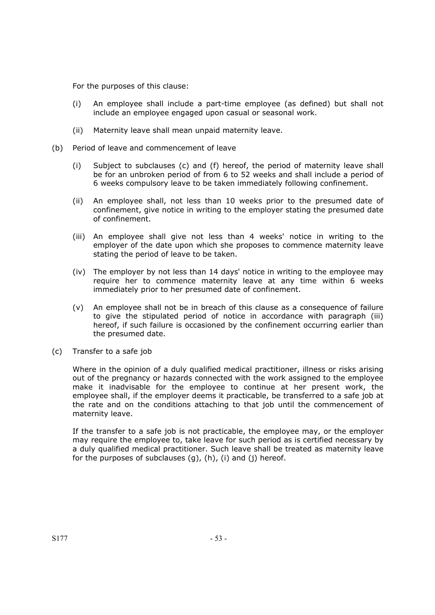For the purposes of this clause:

- (i) An employee shall include a part-time employee (as defined) but shall not include an employee engaged upon casual or seasonal work.
- (ii) Maternity leave shall mean unpaid maternity leave.
- (b) Period of leave and commencement of leave
	- (i) Subject to subclauses (c) and (f) hereof, the period of maternity leave shall be for an unbroken period of from 6 to 52 weeks and shall include a period of 6 weeks compulsory leave to be taken immediately following confinement.
	- (ii) An employee shall, not less than 10 weeks prior to the presumed date of confinement, give notice in writing to the employer stating the presumed date of confinement.
	- (iii) An employee shall give not less than 4 weeks' notice in writing to the employer of the date upon which she proposes to commence maternity leave stating the period of leave to be taken.
	- (iv) The employer by not less than 14 days' notice in writing to the employee may require her to commence maternity leave at any time within 6 weeks immediately prior to her presumed date of confinement.
	- (v) An employee shall not be in breach of this clause as a consequence of failure to give the stipulated period of notice in accordance with paragraph (iii) hereof, if such failure is occasioned by the confinement occurring earlier than the presumed date.
- (c) Transfer to a safe job

Where in the opinion of a duly qualified medical practitioner, illness or risks arising out of the pregnancy or hazards connected with the work assigned to the employee make it inadvisable for the employee to continue at her present work, the employee shall, if the employer deems it practicable, be transferred to a safe job at the rate and on the conditions attaching to that job until the commencement of maternity leave.

If the transfer to a safe job is not practicable, the employee may, or the employer may require the employee to, take leave for such period as is certified necessary by a duly qualified medical practitioner. Such leave shall be treated as maternity leave for the purposes of subclauses  $(g)$ ,  $(h)$ ,  $(i)$  and  $(j)$  hereof.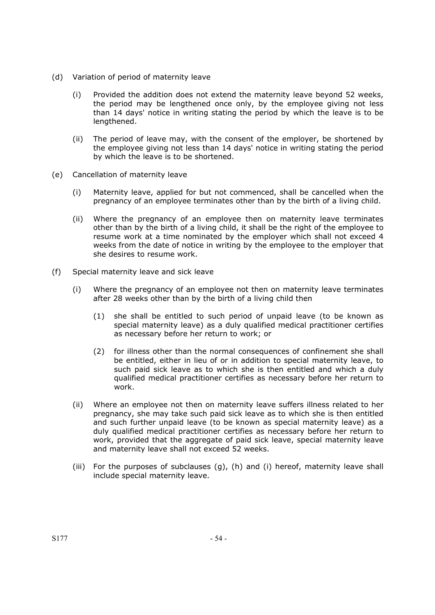- (d) Variation of period of maternity leave
	- (i) Provided the addition does not extend the maternity leave beyond 52 weeks, the period may be lengthened once only, by the employee giving not less than 14 days' notice in writing stating the period by which the leave is to be lengthened.
	- (ii) The period of leave may, with the consent of the employer, be shortened by the employee giving not less than 14 days' notice in writing stating the period by which the leave is to be shortened.
- (e) Cancellation of maternity leave
	- (i) Maternity leave, applied for but not commenced, shall be cancelled when the pregnancy of an employee terminates other than by the birth of a living child.
	- (ii) Where the pregnancy of an employee then on maternity leave terminates other than by the birth of a living child, it shall be the right of the employee to resume work at a time nominated by the employer which shall not exceed 4 weeks from the date of notice in writing by the employee to the employer that she desires to resume work.
- (f) Special maternity leave and sick leave
	- (i) Where the pregnancy of an employee not then on maternity leave terminates after 28 weeks other than by the birth of a living child then
		- (1) she shall be entitled to such period of unpaid leave (to be known as special maternity leave) as a duly qualified medical practitioner certifies as necessary before her return to work; or
		- (2) for illness other than the normal consequences of confinement she shall be entitled, either in lieu of or in addition to special maternity leave, to such paid sick leave as to which she is then entitled and which a duly qualified medical practitioner certifies as necessary before her return to work.
	- (ii) Where an employee not then on maternity leave suffers illness related to her pregnancy, she may take such paid sick leave as to which she is then entitled and such further unpaid leave (to be known as special maternity leave) as a duly qualified medical practitioner certifies as necessary before her return to work, provided that the aggregate of paid sick leave, special maternity leave and maternity leave shall not exceed 52 weeks.
	- (iii) For the purposes of subclauses (g), (h) and (i) hereof, maternity leave shall include special maternity leave.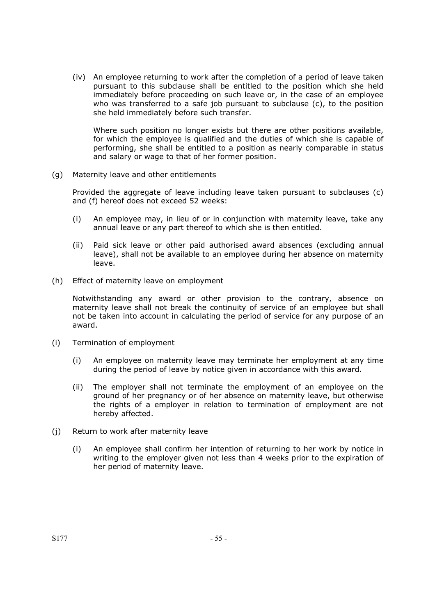(iv) An employee returning to work after the completion of a period of leave taken pursuant to this subclause shall be entitled to the position which she held immediately before proceeding on such leave or, in the case of an employee who was transferred to a safe job pursuant to subclause (c), to the position she held immediately before such transfer.

Where such position no longer exists but there are other positions available, for which the employee is qualified and the duties of which she is capable of performing, she shall be entitled to a position as nearly comparable in status and salary or wage to that of her former position.

(g) Maternity leave and other entitlements

Provided the aggregate of leave including leave taken pursuant to subclauses (c) and (f) hereof does not exceed 52 weeks:

- (i) An employee may, in lieu of or in conjunction with maternity leave, take any annual leave or any part thereof to which she is then entitled.
- (ii) Paid sick leave or other paid authorised award absences (excluding annual leave), shall not be available to an employee during her absence on maternity leave.
- (h) Effect of maternity leave on employment

Notwithstanding any award or other provision to the contrary, absence on maternity leave shall not break the continuity of service of an employee but shall not be taken into account in calculating the period of service for any purpose of an award.

- (i) Termination of employment
	- (i) An employee on maternity leave may terminate her employment at any time during the period of leave by notice given in accordance with this award.
	- (ii) The employer shall not terminate the employment of an employee on the ground of her pregnancy or of her absence on maternity leave, but otherwise the rights of a employer in relation to termination of employment are not hereby affected.
- (j) Return to work after maternity leave
	- (i) An employee shall confirm her intention of returning to her work by notice in writing to the employer given not less than 4 weeks prior to the expiration of her period of maternity leave.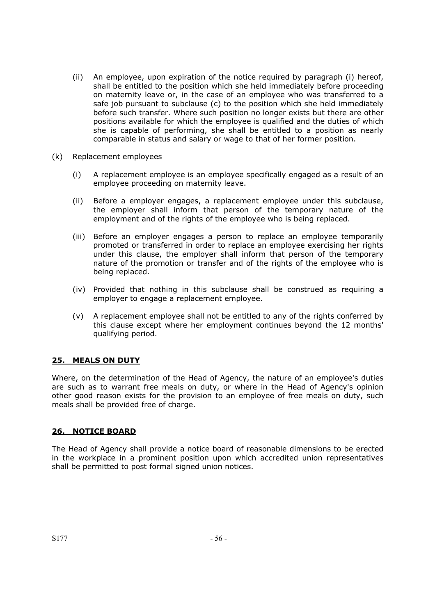- (ii) An employee, upon expiration of the notice required by paragraph (i) hereof, shall be entitled to the position which she held immediately before proceeding on maternity leave or, in the case of an employee who was transferred to a safe job pursuant to subclause (c) to the position which she held immediately before such transfer. Where such position no longer exists but there are other positions available for which the employee is qualified and the duties of which she is capable of performing, she shall be entitled to a position as nearly comparable in status and salary or wage to that of her former position.
- (k) Replacement employees
	- (i) A replacement employee is an employee specifically engaged as a result of an employee proceeding on maternity leave.
	- (ii) Before a employer engages, a replacement employee under this subclause, the employer shall inform that person of the temporary nature of the employment and of the rights of the employee who is being replaced.
	- (iii) Before an employer engages a person to replace an employee temporarily promoted or transferred in order to replace an employee exercising her rights under this clause, the employer shall inform that person of the temporary nature of the promotion or transfer and of the rights of the employee who is being replaced.
	- (iv) Provided that nothing in this subclause shall be construed as requiring a employer to engage a replacement employee.
	- (v) A replacement employee shall not be entitled to any of the rights conferred by this clause except where her employment continues beyond the 12 months' qualifying period.

## **25. MEALS ON DUTY**

Where, on the determination of the Head of Agency, the nature of an employee's duties are such as to warrant free meals on duty, or where in the Head of Agency's opinion other good reason exists for the provision to an employee of free meals on duty, such meals shall be provided free of charge.

## **26. NOTICE BOARD**

The Head of Agency shall provide a notice board of reasonable dimensions to be erected in the workplace in a prominent position upon which accredited union representatives shall be permitted to post formal signed union notices.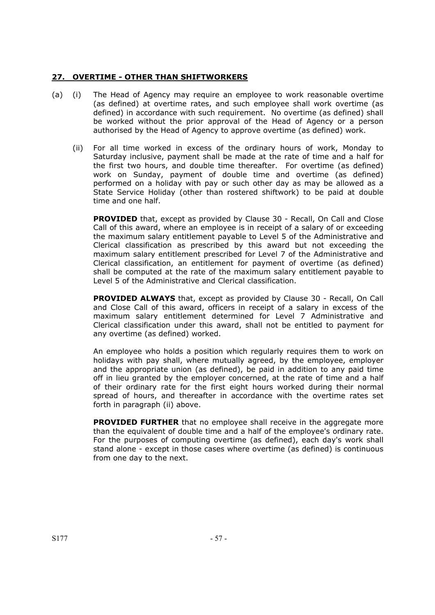### **27. OVERTIME - OTHER THAN SHIFTWORKERS**

- (a) (i) The Head of Agency may require an employee to work reasonable overtime (as defined) at overtime rates, and such employee shall work overtime (as defined) in accordance with such requirement. No overtime (as defined) shall be worked without the prior approval of the Head of Agency or a person authorised by the Head of Agency to approve overtime (as defined) work.
	- (ii) For all time worked in excess of the ordinary hours of work, Monday to Saturday inclusive, payment shall be made at the rate of time and a half for the first two hours, and double time thereafter. For overtime (as defined) work on Sunday, payment of double time and overtime (as defined) performed on a holiday with pay or such other day as may be allowed as a State Service Holiday (other than rostered shiftwork) to be paid at double time and one half.

**PROVIDED** that, except as provided by Clause 30 - Recall, On Call and Close Call of this award, where an employee is in receipt of a salary of or exceeding the maximum salary entitlement payable to Level 5 of the Administrative and Clerical classification as prescribed by this award but not exceeding the maximum salary entitlement prescribed for Level 7 of the Administrative and Clerical classification, an entitlement for payment of overtime (as defined) shall be computed at the rate of the maximum salary entitlement payable to Level 5 of the Administrative and Clerical classification.

 **PROVIDED ALWAYS** that, except as provided by Clause 30 - Recall, On Call and Close Call of this award, officers in receipt of a salary in excess of the maximum salary entitlement determined for Level 7 Administrative and Clerical classification under this award, shall not be entitled to payment for any overtime (as defined) worked.

An employee who holds a position which regularly requires them to work on holidays with pay shall, where mutually agreed, by the employee, employer and the appropriate union (as defined), be paid in addition to any paid time off in lieu granted by the employer concerned, at the rate of time and a half of their ordinary rate for the first eight hours worked during their normal spread of hours, and thereafter in accordance with the overtime rates set forth in paragraph (ii) above.

**PROVIDED FURTHER** that no employee shall receive in the aggregate more than the equivalent of double time and a half of the employee's ordinary rate. For the purposes of computing overtime (as defined), each day's work shall stand alone - except in those cases where overtime (as defined) is continuous from one day to the next.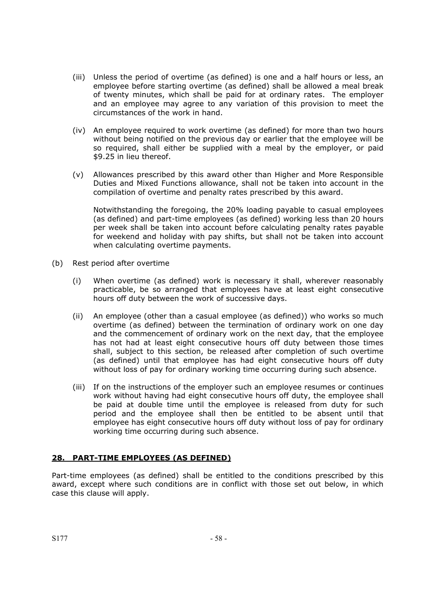- (iii) Unless the period of overtime (as defined) is one and a half hours or less, an employee before starting overtime (as defined) shall be allowed a meal break of twenty minutes, which shall be paid for at ordinary rates. The employer and an employee may agree to any variation of this provision to meet the circumstances of the work in hand.
- (iv) An employee required to work overtime (as defined) for more than two hours without being notified on the previous day or earlier that the employee will be so required, shall either be supplied with a meal by the employer, or paid \$9.25 in lieu thereof.
- (v) Allowances prescribed by this award other than Higher and More Responsible Duties and Mixed Functions allowance, shall not be taken into account in the compilation of overtime and penalty rates prescribed by this award.

Notwithstanding the foregoing, the 20% loading payable to casual employees (as defined) and part-time employees (as defined) working less than 20 hours per week shall be taken into account before calculating penalty rates payable for weekend and holiday with pay shifts, but shall not be taken into account when calculating overtime payments.

- (b) Rest period after overtime
	- (i) When overtime (as defined) work is necessary it shall, wherever reasonably practicable, be so arranged that employees have at least eight consecutive hours off duty between the work of successive days.
	- (ii) An employee (other than a casual employee (as defined)) who works so much overtime (as defined) between the termination of ordinary work on one day and the commencement of ordinary work on the next day, that the employee has not had at least eight consecutive hours off duty between those times shall, subject to this section, be released after completion of such overtime (as defined) until that employee has had eight consecutive hours off duty without loss of pay for ordinary working time occurring during such absence.
	- (iii) If on the instructions of the employer such an employee resumes or continues work without having had eight consecutive hours off duty, the employee shall be paid at double time until the employee is released from duty for such period and the employee shall then be entitled to be absent until that employee has eight consecutive hours off duty without loss of pay for ordinary working time occurring during such absence.

## **28. PART-TIME EMPLOYEES (AS DEFINED)**

Part-time employees (as defined) shall be entitled to the conditions prescribed by this award, except where such conditions are in conflict with those set out below, in which case this clause will apply.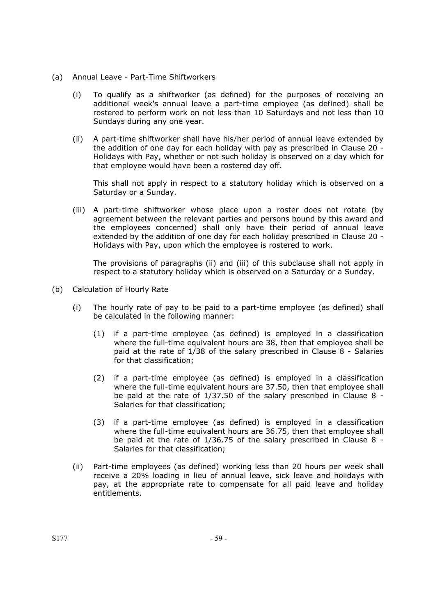- (a) Annual Leave Part-Time Shiftworkers
	- (i) To qualify as a shiftworker (as defined) for the purposes of receiving an additional week's annual leave a part-time employee (as defined) shall be rostered to perform work on not less than 10 Saturdays and not less than 10 Sundays during any one year.
	- (ii) A part-time shiftworker shall have his/her period of annual leave extended by the addition of one day for each holiday with pay as prescribed in Clause 20 - Holidays with Pay, whether or not such holiday is observed on a day which for that employee would have been a rostered day off.

This shall not apply in respect to a statutory holiday which is observed on a Saturday or a Sunday.

(iii) A part-time shiftworker whose place upon a roster does not rotate (by agreement between the relevant parties and persons bound by this award and the employees concerned) shall only have their period of annual leave extended by the addition of one day for each holiday prescribed in Clause 20 - Holidays with Pay, upon which the employee is rostered to work.

The provisions of paragraphs (ii) and (iii) of this subclause shall not apply in respect to a statutory holiday which is observed on a Saturday or a Sunday.

- (b) Calculation of Hourly Rate
	- (i) The hourly rate of pay to be paid to a part-time employee (as defined) shall be calculated in the following manner:
		- (1) if a part-time employee (as defined) is employed in a classification where the full-time equivalent hours are 38, then that employee shall be paid at the rate of 1/38 of the salary prescribed in Clause 8 - Salaries for that classification;
		- (2) if a part-time employee (as defined) is employed in a classification where the full-time equivalent hours are 37.50, then that employee shall be paid at the rate of 1/37.50 of the salary prescribed in Clause 8 - Salaries for that classification;
		- (3) if a part-time employee (as defined) is employed in a classification where the full-time equivalent hours are 36.75, then that employee shall be paid at the rate of 1/36.75 of the salary prescribed in Clause 8 - Salaries for that classification;
	- (ii) Part-time employees (as defined) working less than 20 hours per week shall receive a 20% loading in lieu of annual leave, sick leave and holidays with pay, at the appropriate rate to compensate for all paid leave and holiday entitlements.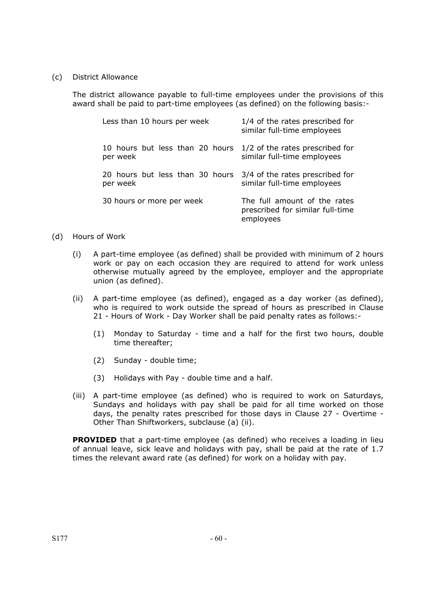(c) District Allowance

The district allowance payable to full-time employees under the provisions of this award shall be paid to part-time employees (as defined) on the following basis:-

| Less than 10 hours per week     | 1/4 of the rates prescribed for<br>similar full-time employees                |
|---------------------------------|-------------------------------------------------------------------------------|
| 10 hours but less than 20 hours | 1/2 of the rates prescribed for                                               |
| per week                        | similar full-time employees                                                   |
| 20 hours but less than 30 hours | 3/4 of the rates prescribed for                                               |
| per week                        | similar full-time employees                                                   |
| 30 hours or more per week       | The full amount of the rates<br>prescribed for similar full-time<br>employees |

### (d) Hours of Work

- (i) A part-time employee (as defined) shall be provided with minimum of 2 hours work or pay on each occasion they are required to attend for work unless otherwise mutually agreed by the employee, employer and the appropriate union (as defined).
- (ii) A part-time employee (as defined), engaged as a day worker (as defined), who is required to work outside the spread of hours as prescribed in Clause 21 - Hours of Work - Day Worker shall be paid penalty rates as follows:-
	- (1) Monday to Saturday time and a half for the first two hours, double time thereafter;
	- (2) Sunday double time;
	- (3) Holidays with Pay double time and a half.
- (iii) A part-time employee (as defined) who is required to work on Saturdays, Sundays and holidays with pay shall be paid for all time worked on those days, the penalty rates prescribed for those days in Clause 27 - Overtime - Other Than Shiftworkers, subclause (a) (ii).

**PROVIDED** that a part-time employee (as defined) who receives a loading in lieu of annual leave, sick leave and holidays with pay, shall be paid at the rate of 1.7 times the relevant award rate (as defined) for work on a holiday with pay.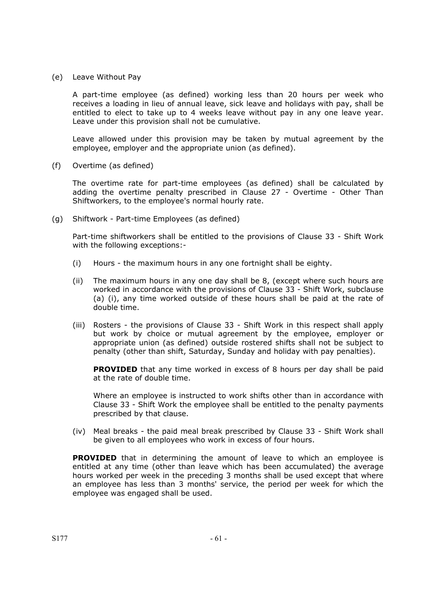(e) Leave Without Pay

A part-time employee (as defined) working less than 20 hours per week who receives a loading in lieu of annual leave, sick leave and holidays with pay, shall be entitled to elect to take up to 4 weeks leave without pay in any one leave year. Leave under this provision shall not be cumulative.

Leave allowed under this provision may be taken by mutual agreement by the employee, employer and the appropriate union (as defined).

(f) Overtime (as defined)

The overtime rate for part-time employees (as defined) shall be calculated by adding the overtime penalty prescribed in Clause 27 - Overtime - Other Than Shiftworkers, to the employee's normal hourly rate.

(g) Shiftwork - Part-time Employees (as defined)

Part-time shiftworkers shall be entitled to the provisions of Clause 33 - Shift Work with the following exceptions:-

- (i) Hours the maximum hours in any one fortnight shall be eighty.
- (ii) The maximum hours in any one day shall be 8, (except where such hours are worked in accordance with the provisions of Clause 33 - Shift Work, subclause (a) (i), any time worked outside of these hours shall be paid at the rate of double time.
- (iii) Rosters the provisions of Clause 33 Shift Work in this respect shall apply but work by choice or mutual agreement by the employee, employer or appropriate union (as defined) outside rostered shifts shall not be subject to penalty (other than shift, Saturday, Sunday and holiday with pay penalties).

**PROVIDED** that any time worked in excess of 8 hours per day shall be paid at the rate of double time.

Where an employee is instructed to work shifts other than in accordance with Clause 33 - Shift Work the employee shall be entitled to the penalty payments prescribed by that clause.

(iv) Meal breaks - the paid meal break prescribed by Clause 33 - Shift Work shall be given to all employees who work in excess of four hours.

**PROVIDED** that in determining the amount of leave to which an employee is entitled at any time (other than leave which has been accumulated) the average hours worked per week in the preceding 3 months shall be used except that where an employee has less than 3 months' service, the period per week for which the employee was engaged shall be used.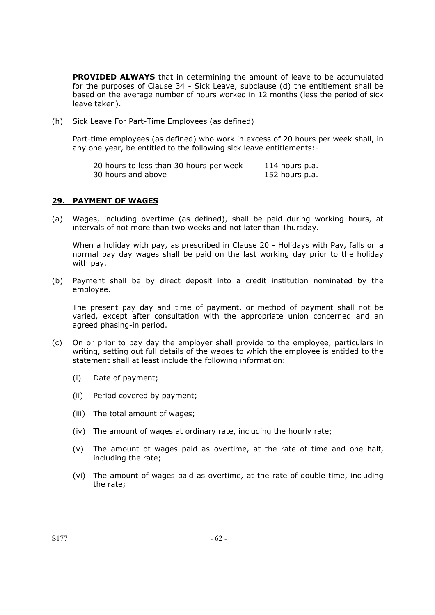**PROVIDED ALWAYS** that in determining the amount of leave to be accumulated for the purposes of Clause 34 - Sick Leave, subclause (d) the entitlement shall be based on the average number of hours worked in 12 months (less the period of sick leave taken).

(h) Sick Leave For Part-Time Employees (as defined)

Part-time employees (as defined) who work in excess of 20 hours per week shall, in any one year, be entitled to the following sick leave entitlements:-

| 20 hours to less than 30 hours per week | 114 hours p.a. |
|-----------------------------------------|----------------|
| 30 hours and above                      | 152 hours p.a. |

#### **29. PAYMENT OF WAGES**

(a) Wages, including overtime (as defined), shall be paid during working hours, at intervals of not more than two weeks and not later than Thursday.

When a holiday with pay, as prescribed in Clause 20 - Holidays with Pay, falls on a normal pay day wages shall be paid on the last working day prior to the holiday with pay.

(b) Payment shall be by direct deposit into a credit institution nominated by the employee.

The present pay day and time of payment, or method of payment shall not be varied, except after consultation with the appropriate union concerned and an agreed phasing-in period.

- (c) On or prior to pay day the employer shall provide to the employee, particulars in writing, setting out full details of the wages to which the employee is entitled to the statement shall at least include the following information:
	- (i) Date of payment;
	- (ii) Period covered by payment;
	- (iii) The total amount of wages;
	- (iv) The amount of wages at ordinary rate, including the hourly rate;
	- (v) The amount of wages paid as overtime, at the rate of time and one half, including the rate;
	- (vi) The amount of wages paid as overtime, at the rate of double time, including the rate;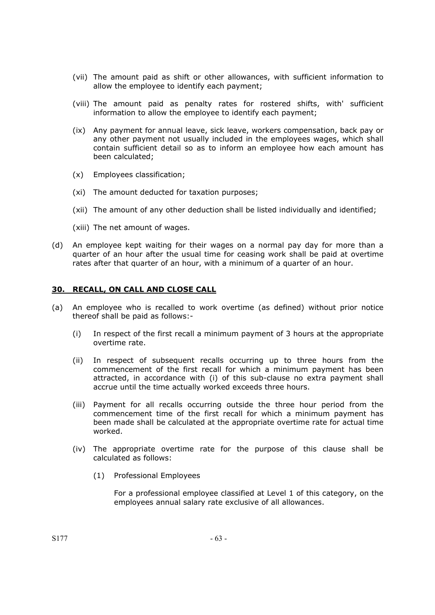- (vii) The amount paid as shift or other allowances, with sufficient information to allow the employee to identify each payment;
- (viii) The amount paid as penalty rates for rostered shifts, with' sufficient information to allow the employee to identify each payment;
- (ix) Any payment for annual leave, sick leave, workers compensation, back pay or any other payment not usually included in the employees wages, which shall contain sufficient detail so as to inform an employee how each amount has been calculated;
- (x) Employees classification;
- (xi) The amount deducted for taxation purposes;
- (xii) The amount of any other deduction shall be listed individually and identified;
- (xiii) The net amount of wages.
- (d) An employee kept waiting for their wages on a normal pay day for more than a quarter of an hour after the usual time for ceasing work shall be paid at overtime rates after that quarter of an hour, with a minimum of a quarter of an hour.

### **30. RECALL, ON CALL AND CLOSE CALL**

- (a) An employee who is recalled to work overtime (as defined) without prior notice thereof shall be paid as follows:-
	- (i) In respect of the first recall a minimum payment of 3 hours at the appropriate overtime rate.
	- (ii) In respect of subsequent recalls occurring up to three hours from the commencement of the first recall for which a minimum payment has been attracted, in accordance with (i) of this sub-clause no extra payment shall accrue until the time actually worked exceeds three hours.
	- (iii) Payment for all recalls occurring outside the three hour period from the commencement time of the first recall for which a minimum payment has been made shall be calculated at the appropriate overtime rate for actual time worked.
	- (iv) The appropriate overtime rate for the purpose of this clause shall be calculated as follows:
		- (1) Professional Employees

For a professional employee classified at Level 1 of this category, on the employees annual salary rate exclusive of all allowances.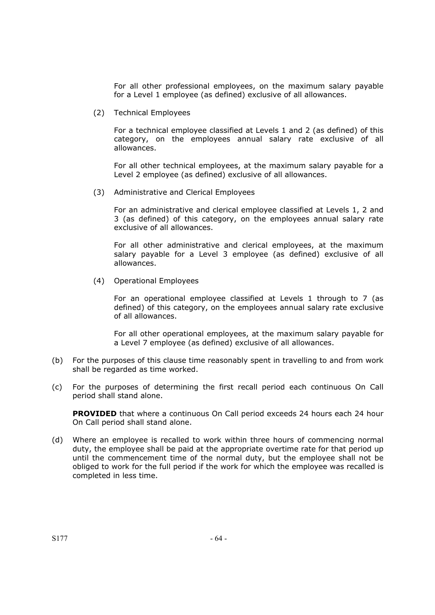For all other professional employees, on the maximum salary payable for a Level 1 employee (as defined) exclusive of all allowances.

(2) Technical Employees

For a technical employee classified at Levels 1 and 2 (as defined) of this category, on the employees annual salary rate exclusive of all allowances.

For all other technical employees, at the maximum salary payable for a Level 2 employee (as defined) exclusive of all allowances.

(3) Administrative and Clerical Employees

For an administrative and clerical employee classified at Levels 1, 2 and 3 (as defined) of this category, on the employees annual salary rate exclusive of all allowances.

For all other administrative and clerical employees, at the maximum salary payable for a Level 3 employee (as defined) exclusive of all allowances.

(4) Operational Employees

For an operational employee classified at Levels 1 through to 7 (as defined) of this category, on the employees annual salary rate exclusive of all allowances.

For all other operational employees, at the maximum salary payable for a Level 7 employee (as defined) exclusive of all allowances.

- (b) For the purposes of this clause time reasonably spent in travelling to and from work shall be regarded as time worked.
- (c) For the purposes of determining the first recall period each continuous On Call period shall stand alone.

**PROVIDED** that where a continuous On Call period exceeds 24 hours each 24 hour On Call period shall stand alone.

(d) Where an employee is recalled to work within three hours of commencing normal duty, the employee shall be paid at the appropriate overtime rate for that period up until the commencement time of the normal duty, but the employee shall not be obliged to work for the full period if the work for which the employee was recalled is completed in less time.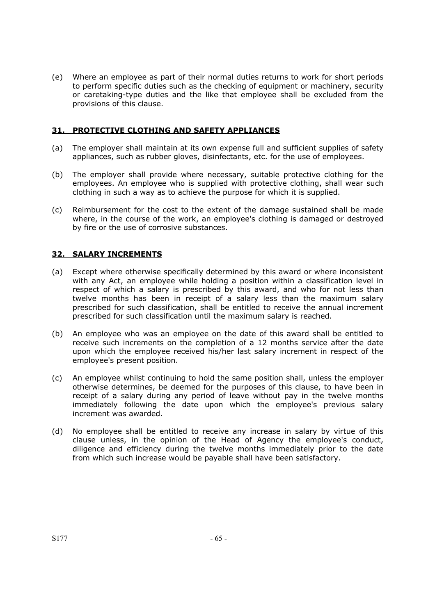(e) Where an employee as part of their normal duties returns to work for short periods to perform specific duties such as the checking of equipment or machinery, security or caretaking-type duties and the like that employee shall be excluded from the provisions of this clause.

# **31. PROTECTIVE CLOTHING AND SAFETY APPLIANCES**

- (a) The employer shall maintain at its own expense full and sufficient supplies of safety appliances, such as rubber gloves, disinfectants, etc. for the use of employees.
- (b) The employer shall provide where necessary, suitable protective clothing for the employees. An employee who is supplied with protective clothing, shall wear such clothing in such a way as to achieve the purpose for which it is supplied.
- (c) Reimbursement for the cost to the extent of the damage sustained shall be made where, in the course of the work, an employee's clothing is damaged or destroyed by fire or the use of corrosive substances.

# **32. SALARY INCREMENTS**

- (a) Except where otherwise specifically determined by this award or where inconsistent with any Act, an employee while holding a position within a classification level in respect of which a salary is prescribed by this award, and who for not less than twelve months has been in receipt of a salary less than the maximum salary prescribed for such classification, shall be entitled to receive the annual increment prescribed for such classification until the maximum salary is reached.
- (b) An employee who was an employee on the date of this award shall be entitled to receive such increments on the completion of a 12 months service after the date upon which the employee received his/her last salary increment in respect of the employee's present position.
- (c) An employee whilst continuing to hold the same position shall, unless the employer otherwise determines, be deemed for the purposes of this clause, to have been in receipt of a salary during any period of leave without pay in the twelve months immediately following the date upon which the employee's previous salary increment was awarded.
- (d) No employee shall be entitled to receive any increase in salary by virtue of this clause unless, in the opinion of the Head of Agency the employee's conduct, diligence and efficiency during the twelve months immediately prior to the date from which such increase would be payable shall have been satisfactory.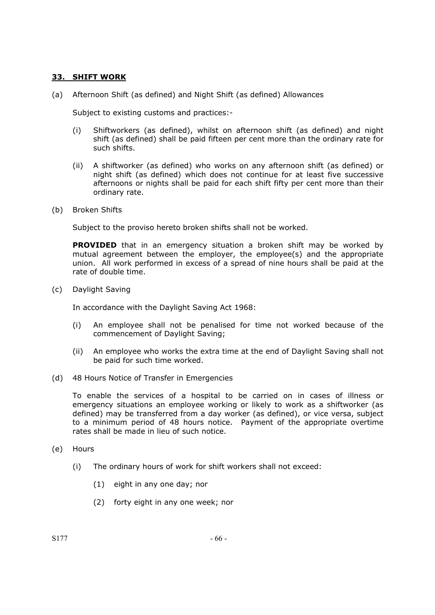### **33. SHIFT WORK**

(a) Afternoon Shift (as defined) and Night Shift (as defined) Allowances

Subject to existing customs and practices:-

- (i) Shiftworkers (as defined), whilst on afternoon shift (as defined) and night shift (as defined) shall be paid fifteen per cent more than the ordinary rate for such shifts.
- (ii) A shiftworker (as defined) who works on any afternoon shift (as defined) or night shift (as defined) which does not continue for at least five successive afternoons or nights shall be paid for each shift fifty per cent more than their ordinary rate.
- (b) Broken Shifts

Subject to the proviso hereto broken shifts shall not be worked.

**PROVIDED** that in an emergency situation a broken shift may be worked by mutual agreement between the employer, the employee(s) and the appropriate union. All work performed in excess of a spread of nine hours shall be paid at the rate of double time.

(c) Daylight Saving

In accordance with the Daylight Saving Act 1968:

- (i) An employee shall not be penalised for time not worked because of the commencement of Daylight Saving;
- (ii) An employee who works the extra time at the end of Daylight Saving shall not be paid for such time worked.
- (d) 48 Hours Notice of Transfer in Emergencies

To enable the services of a hospital to be carried on in cases of illness or emergency situations an employee working or likely to work as a shiftworker (as defined) may be transferred from a day worker (as defined), or vice versa, subject to a minimum period of 48 hours notice. Payment of the appropriate overtime rates shall be made in lieu of such notice.

- (e) Hours
	- (i) The ordinary hours of work for shift workers shall not exceed:
		- (1) eight in any one day; nor
		- (2) forty eight in any one week; nor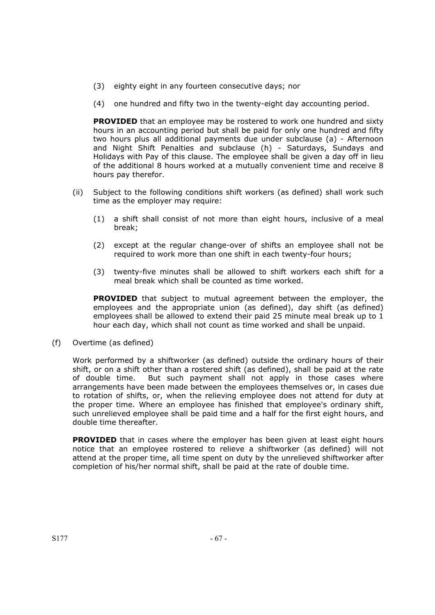- (3) eighty eight in any fourteen consecutive days; nor
- (4) one hundred and fifty two in the twenty-eight day accounting period.

**PROVIDED** that an employee may be rostered to work one hundred and sixty hours in an accounting period but shall be paid for only one hundred and fifty two hours plus all additional payments due under subclause (a) - Afternoon and Night Shift Penalties and subclause (h) - Saturdays, Sundays and Holidays with Pay of this clause. The employee shall be given a day off in lieu of the additional 8 hours worked at a mutually convenient time and receive 8 hours pay therefor.

- (ii) Subject to the following conditions shift workers (as defined) shall work such time as the employer may require:
	- (1) a shift shall consist of not more than eight hours, inclusive of a meal break;
	- (2) except at the regular change-over of shifts an employee shall not be required to work more than one shift in each twenty-four hours;
	- (3) twenty-five minutes shall be allowed to shift workers each shift for a meal break which shall be counted as time worked.

**PROVIDED** that subject to mutual agreement between the employer, the employees and the appropriate union (as defined), day shift (as defined) employees shall be allowed to extend their paid 25 minute meal break up to 1 hour each day, which shall not count as time worked and shall be unpaid.

(f) Overtime (as defined)

Work performed by a shiftworker (as defined) outside the ordinary hours of their shift, or on a shift other than a rostered shift (as defined), shall be paid at the rate of double time. But such payment shall not apply in those cases where arrangements have been made between the employees themselves or, in cases due to rotation of shifts, or, when the relieving employee does not attend for duty at the proper time. Where an employee has finished that employee's ordinary shift, such unrelieved employee shall be paid time and a half for the first eight hours, and double time thereafter.

**PROVIDED** that in cases where the employer has been given at least eight hours notice that an employee rostered to relieve a shiftworker (as defined) will not attend at the proper time, all time spent on duty by the unrelieved shiftworker after completion of his/her normal shift, shall be paid at the rate of double time.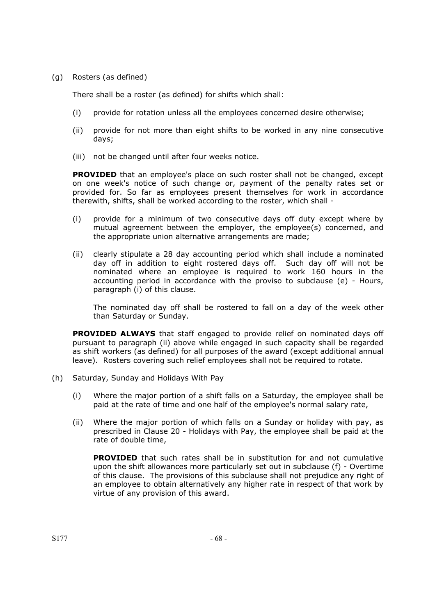(g) Rosters (as defined)

There shall be a roster (as defined) for shifts which shall:

- (i) provide for rotation unless all the employees concerned desire otherwise;
- (ii) provide for not more than eight shifts to be worked in any nine consecutive days;
- (iii) not be changed until after four weeks notice.

**PROVIDED** that an employee's place on such roster shall not be changed, except on one week's notice of such change or, payment of the penalty rates set or provided for. So far as employees present themselves for work in accordance therewith, shifts, shall be worked according to the roster, which shall -

- (i) provide for a minimum of two consecutive days off duty except where by mutual agreement between the employer, the employee(s) concerned, and the appropriate union alternative arrangements are made;
- (ii) clearly stipulate a 28 day accounting period which shall include a nominated day off in addition to eight rostered days off. Such day off will not be nominated where an employee is required to work 160 hours in the accounting period in accordance with the proviso to subclause (e) - Hours, paragraph (i) of this clause.

The nominated day off shall be rostered to fall on a day of the week other than Saturday or Sunday.

**PROVIDED ALWAYS** that staff engaged to provide relief on nominated days off pursuant to paragraph (ii) above while engaged in such capacity shall be regarded as shift workers (as defined) for all purposes of the award (except additional annual leave). Rosters covering such relief employees shall not be required to rotate.

- (h) Saturday, Sunday and Holidays With Pay
	- (i) Where the major portion of a shift falls on a Saturday, the employee shall be paid at the rate of time and one half of the employee's normal salary rate,
	- (ii) Where the major portion of which falls on a Sunday or holiday with pay, as prescribed in Clause 20 - Holidays with Pay, the employee shall be paid at the rate of double time,

**PROVIDED** that such rates shall be in substitution for and not cumulative upon the shift allowances more particularly set out in subclause (f) - Overtime of this clause. The provisions of this subclause shall not prejudice any right of an employee to obtain alternatively any higher rate in respect of that work by virtue of any provision of this award.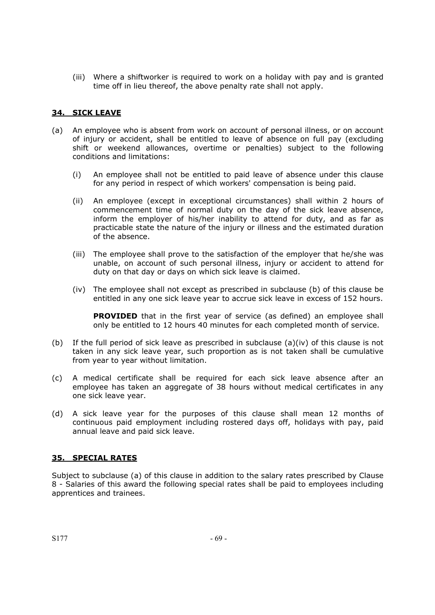(iii) Where a shiftworker is required to work on a holiday with pay and is granted time off in lieu thereof, the above penalty rate shall not apply.

### **34. SICK LEAVE**

- (a) An employee who is absent from work on account of personal illness, or on account of injury or accident, shall be entitled to leave of absence on full pay (excluding shift or weekend allowances, overtime or penalties) subject to the following conditions and limitations:
	- (i) An employee shall not be entitled to paid leave of absence under this clause for any period in respect of which workers' compensation is being paid.
	- (ii) An employee (except in exceptional circumstances) shall within 2 hours of commencement time of normal duty on the day of the sick leave absence, inform the employer of his/her inability to attend for duty, and as far as practicable state the nature of the injury or illness and the estimated duration of the absence.
	- (iii) The employee shall prove to the satisfaction of the employer that he/she was unable, on account of such personal illness, injury or accident to attend for duty on that day or days on which sick leave is claimed.
	- (iv) The employee shall not except as prescribed in subclause (b) of this clause be entitled in any one sick leave year to accrue sick leave in excess of 152 hours.

**PROVIDED** that in the first year of service (as defined) an employee shall only be entitled to 12 hours 40 minutes for each completed month of service.

- (b) If the full period of sick leave as prescribed in subclause (a)(iv) of this clause is not taken in any sick leave year, such proportion as is not taken shall be cumulative from year to year without limitation.
- (c) A medical certificate shall be required for each sick leave absence after an employee has taken an aggregate of 38 hours without medical certificates in any one sick leave year.
- (d) A sick leave year for the purposes of this clause shall mean 12 months of continuous paid employment including rostered days off, holidays with pay, paid annual leave and paid sick leave.

#### **35. SPECIAL RATES**

Subject to subclause (a) of this clause in addition to the salary rates prescribed by Clause 8 - Salaries of this award the following special rates shall be paid to employees including apprentices and trainees.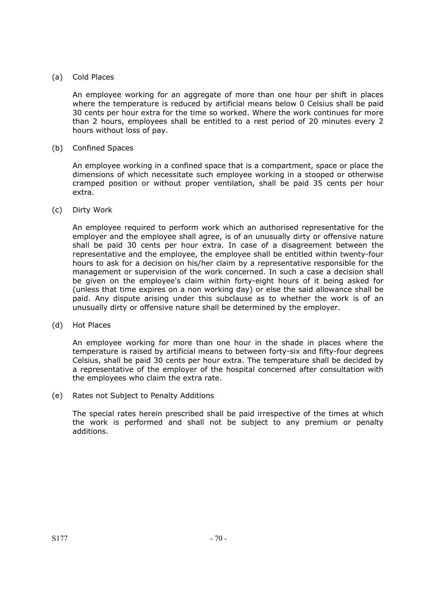### (a) Cold Places

An employee working for an aggregate of more than one hour per shift in places where the temperature is reduced by artificial means below 0 Celsius shall be paid 30 cents per hour extra for the time so worked. Where the work continues for more than 2 hours, employees shall be entitled to a rest period of 20 minutes every 2 hours without loss of pay.

### (b) Confined Spaces

An employee working in a confined space that is a compartment, space or place the dimensions of which necessitate such employee working in a stooped or otherwise cramped position or without proper ventilation, shall be paid 35 cents per hour extra.

### (c) Dirty Work

An employee required to perform work which an authorised representative for the employer and the employee shall agree, is of an unusually dirty or offensive nature shall be paid 30 cents per hour extra. In case of a disagreement between the representative and the employee, the employee shall be entitled within twenty-four hours to ask for a decision on his/her claim by a representative responsible for the management or supervision of the work concerned. In such a case a decision shall be given on the employee's claim within forty-eight hours of it being asked for (unless that time expires on a non working day) or else the said allowance shall be paid. Any dispute arising under this subclause as to whether the work is of an unusually dirty or offensive nature shall be determined by the employer.

#### (d) Hot Places

An employee working for more than one hour in the shade in places where the temperature is raised by artificial means to between forty-six and fifty-four degrees Celsius, shall be paid 30 cents per hour extra. The temperature shall be decided by a representative of the employer of the hospital concerned after consultation with the employees who claim the extra rate.

#### (e) Rates not Subject to Penalty Additions

The special rates herein prescribed shall be paid irrespective of the times at which the work is performed and shall not be subject to any premium or penalty additions.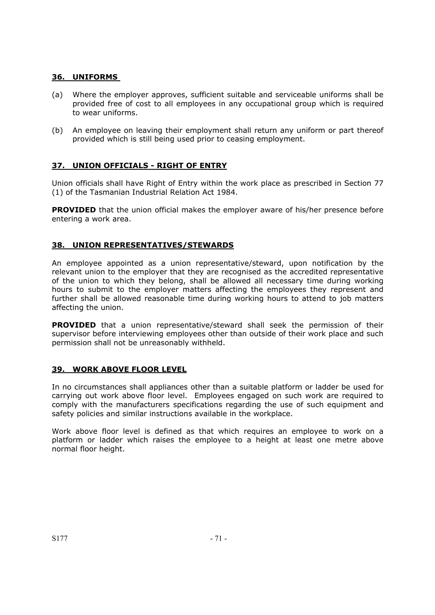### **36. UNIFORMS**

- (a) Where the employer approves, sufficient suitable and serviceable uniforms shall be provided free of cost to all employees in any occupational group which is required to wear uniforms.
- (b) An employee on leaving their employment shall return any uniform or part thereof provided which is still being used prior to ceasing employment.

## **37. UNION OFFICIALS - RIGHT OF ENTRY**

Union officials shall have Right of Entry within the work place as prescribed in Section 77 (1) of the Tasmanian Industrial Relation Act 1984.

**PROVIDED** that the union official makes the employer aware of his/her presence before entering a work area.

#### **38. UNION REPRESENTATIVES/STEWARDS**

An employee appointed as a union representative/steward, upon notification by the relevant union to the employer that they are recognised as the accredited representative of the union to which they belong, shall be allowed all necessary time during working hours to submit to the employer matters affecting the employees they represent and further shall be allowed reasonable time during working hours to attend to job matters affecting the union.

**PROVIDED** that a union representative/steward shall seek the permission of their supervisor before interviewing employees other than outside of their work place and such permission shall not be unreasonably withheld.

#### **39. WORK ABOVE FLOOR LEVEL**

In no circumstances shall appliances other than a suitable platform or ladder be used for carrying out work above floor level. Employees engaged on such work are required to comply with the manufacturers specifications regarding the use of such equipment and safety policies and similar instructions available in the workplace.

Work above floor level is defined as that which requires an employee to work on a platform or ladder which raises the employee to a height at least one metre above normal floor height.